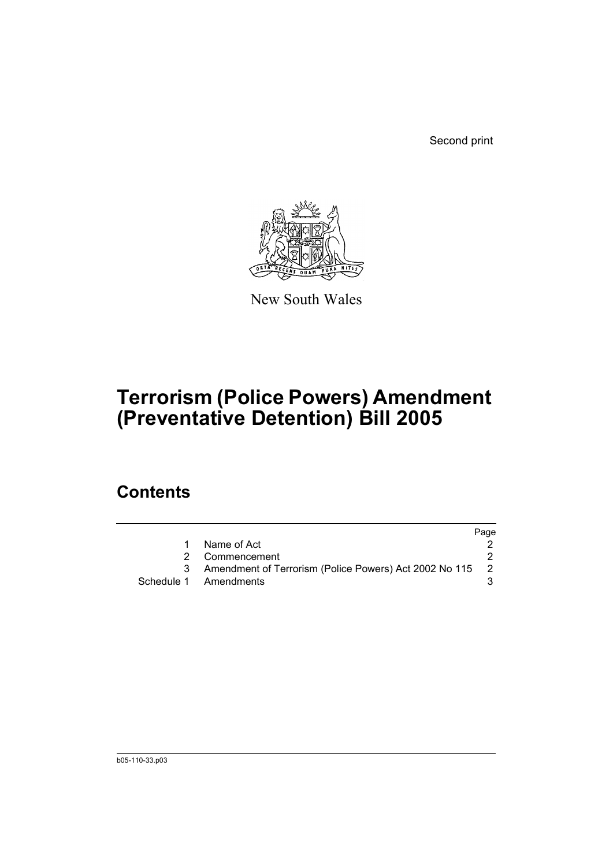Second print



New South Wales

# **Terrorism (Police Powers) Amendment (Preventative Detention) Bill 2005**

# **Contents**

|                                                          | Page |
|----------------------------------------------------------|------|
| Name of Act                                              |      |
| 2 Commencement                                           |      |
| Amendment of Terrorism (Police Powers) Act 2002 No 115 2 |      |
| Schedule 1 Amendments                                    |      |
|                                                          |      |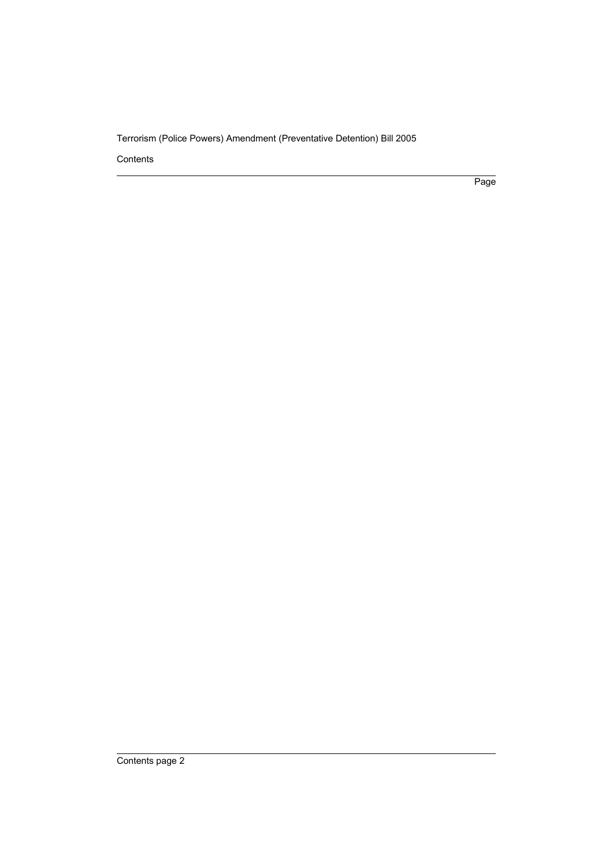Contents

Page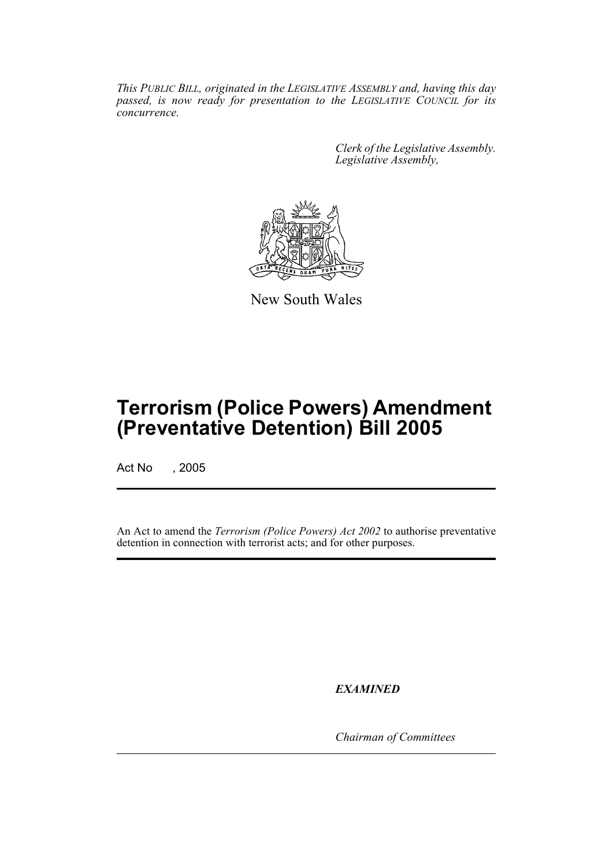*This PUBLIC BILL, originated in the LEGISLATIVE ASSEMBLY and, having this day passed, is now ready for presentation to the LEGISLATIVE COUNCIL for its concurrence.*

> *Clerk of the Legislative Assembly. Legislative Assembly,*



New South Wales

# **Terrorism (Police Powers) Amendment (Preventative Detention) Bill 2005**

Act No , 2005

An Act to amend the *Terrorism (Police Powers) Act 2002* to authorise preventative detention in connection with terrorist acts; and for other purposes.

*EXAMINED*

*Chairman of Committees*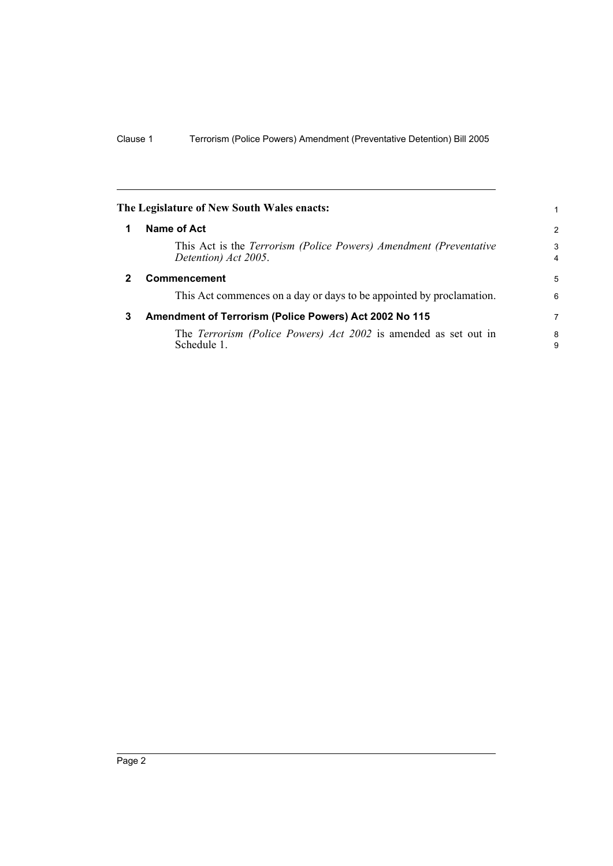<span id="page-3-2"></span><span id="page-3-1"></span><span id="page-3-0"></span>

|   | The Legislature of New South Wales enacts:                                                |                     |
|---|-------------------------------------------------------------------------------------------|---------------------|
|   | Name of Act                                                                               | $\overline{2}$      |
|   | This Act is the Terrorism (Police Powers) Amendment (Preventative<br>Detention) Act 2005. | 3<br>$\overline{4}$ |
| 2 | <b>Commencement</b>                                                                       | 5                   |
|   | This Act commences on a day or days to be appointed by proclamation.                      | 6                   |
| 3 | Amendment of Terrorism (Police Powers) Act 2002 No 115                                    | 7                   |
|   | The Terrorism (Police Powers) Act 2002 is amended as set out in<br>Schedule 1.            | 8<br>9              |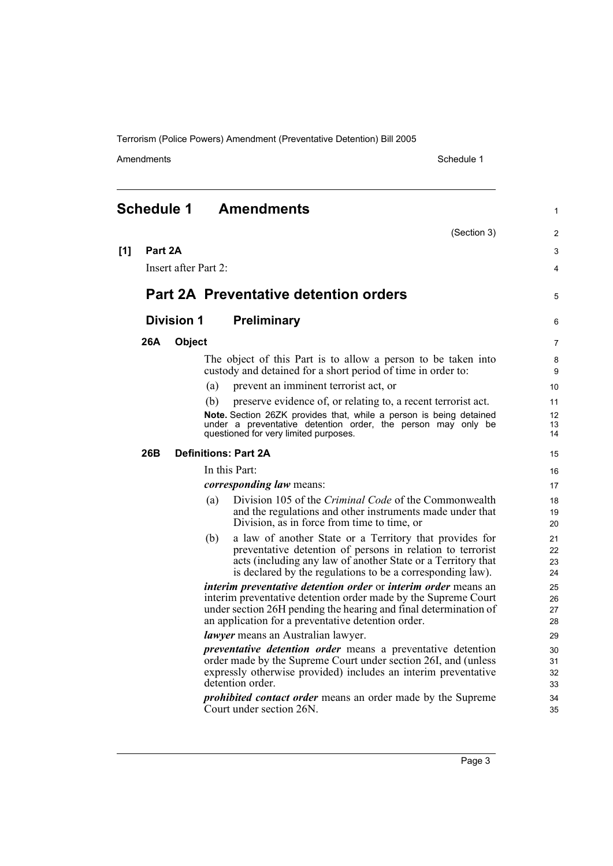Amendments Schedule 1

<span id="page-4-0"></span>

|     | <b>Schedule 1</b> |                      |     | <b>Amendments</b>                                                                                                                                                                                                                                                 | $\mathbf{1}$         |
|-----|-------------------|----------------------|-----|-------------------------------------------------------------------------------------------------------------------------------------------------------------------------------------------------------------------------------------------------------------------|----------------------|
|     |                   |                      |     | (Section 3)                                                                                                                                                                                                                                                       | 2                    |
| [1] | Part 2A           |                      |     |                                                                                                                                                                                                                                                                   | 3                    |
|     |                   | Insert after Part 2: |     |                                                                                                                                                                                                                                                                   | 4                    |
|     |                   |                      |     | <b>Part 2A Preventative detention orders</b>                                                                                                                                                                                                                      | 5                    |
|     |                   | <b>Division 1</b>    |     | <b>Preliminary</b>                                                                                                                                                                                                                                                | 6                    |
|     | 26A               | <b>Object</b>        |     |                                                                                                                                                                                                                                                                   | $\overline{7}$       |
|     |                   |                      |     | The object of this Part is to allow a person to be taken into<br>custody and detained for a short period of time in order to:                                                                                                                                     | 8<br>9               |
|     |                   |                      | (a) | prevent an imminent terrorist act, or                                                                                                                                                                                                                             | 10                   |
|     |                   |                      | (b) | preserve evidence of, or relating to, a recent terrorist act.                                                                                                                                                                                                     | 11                   |
|     |                   |                      |     | Note. Section 26ZK provides that, while a person is being detained<br>under a preventative detention order, the person may only be<br>questioned for very limited purposes.                                                                                       | 12<br>13<br>14       |
|     | 26B               |                      |     | <b>Definitions: Part 2A</b>                                                                                                                                                                                                                                       | 15                   |
|     |                   |                      |     | In this Part:                                                                                                                                                                                                                                                     | 16                   |
|     |                   |                      |     | <i>corresponding law means:</i>                                                                                                                                                                                                                                   | 17                   |
|     |                   |                      | (a) | Division 105 of the <i>Criminal Code</i> of the Commonwealth<br>and the regulations and other instruments made under that<br>Division, as in force from time to time, or                                                                                          | 18<br>19<br>20       |
|     |                   |                      | (b) | a law of another State or a Territory that provides for<br>preventative detention of persons in relation to terrorist<br>acts (including any law of another State or a Territory that<br>is declared by the regulations to be a corresponding law).               | 21<br>22<br>23<br>24 |
|     |                   |                      |     | <i>interim preventative detention order or interim order means an</i><br>interim preventative detention order made by the Supreme Court<br>under section 26H pending the hearing and final determination of<br>an application for a preventative detention order. | 25<br>26<br>27<br>28 |
|     |                   |                      |     | <i>lawyer</i> means an Australian lawyer.                                                                                                                                                                                                                         | 29                   |
|     |                   |                      |     | <i>preventative detention order</i> means a preventative detention<br>order made by the Supreme Court under section 26I, and (unless<br>expressly otherwise provided) includes an interim preventative<br>detention order.                                        | 30<br>31<br>32<br>33 |
|     |                   |                      |     | <i>prohibited contact order</i> means an order made by the Supreme<br>Court under section 26N.                                                                                                                                                                    | 34<br>35             |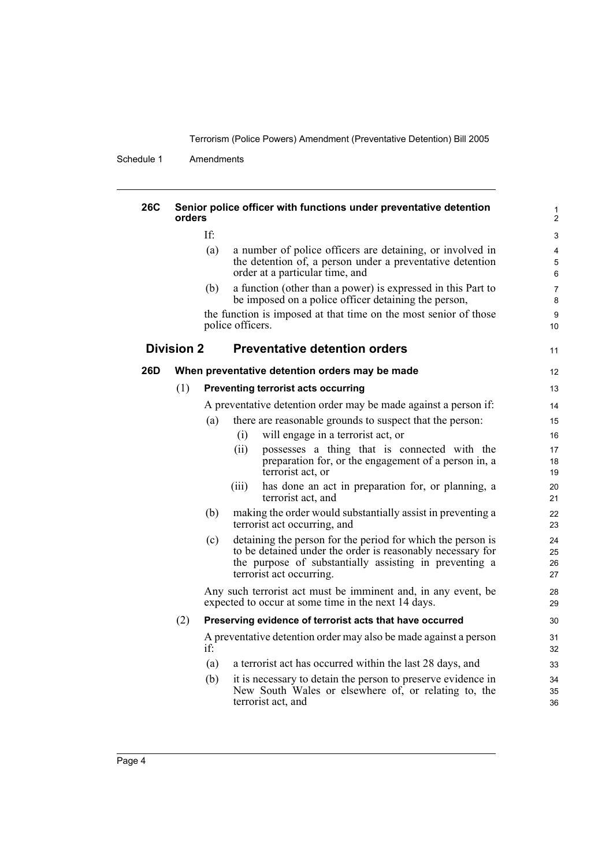| 26C | orders            |     |                  | Senior police officer with functions under preventative detention                                                                                                                                               | 1<br>$\overline{2}$  |
|-----|-------------------|-----|------------------|-----------------------------------------------------------------------------------------------------------------------------------------------------------------------------------------------------------------|----------------------|
|     |                   | If: |                  |                                                                                                                                                                                                                 | 3                    |
|     |                   | (a) |                  | a number of police officers are detaining, or involved in<br>the detention of, a person under a preventative detention<br>order at a particular time, and                                                       | 4<br>5<br>6          |
|     |                   | (b) |                  | a function (other than a power) is expressed in this Part to<br>be imposed on a police officer detaining the person,                                                                                            | $\overline{7}$<br>8  |
|     |                   |     | police officers. | the function is imposed at that time on the most senior of those                                                                                                                                                | 9<br>10              |
|     | <b>Division 2</b> |     |                  | <b>Preventative detention orders</b>                                                                                                                                                                            | 11                   |
| 26D |                   |     |                  | When preventative detention orders may be made                                                                                                                                                                  | 12                   |
|     | (1)               |     |                  | <b>Preventing terrorist acts occurring</b>                                                                                                                                                                      | 13                   |
|     |                   |     |                  | A preventative detention order may be made against a person if:                                                                                                                                                 | 14                   |
|     |                   | (a) |                  | there are reasonable grounds to suspect that the person:                                                                                                                                                        | 15                   |
|     |                   |     | (i)              | will engage in a terrorist act, or                                                                                                                                                                              | 16                   |
|     |                   |     | (ii)             | possesses a thing that is connected with the<br>preparation for, or the engagement of a person in, a<br>terrorist act, or                                                                                       | 17<br>18<br>19       |
|     |                   |     | (iii)            | has done an act in preparation for, or planning, a<br>terrorist act, and                                                                                                                                        | 20<br>21             |
|     |                   | (b) |                  | making the order would substantially assist in preventing a<br>terrorist act occurring, and                                                                                                                     | 22<br>23             |
|     |                   | (c) |                  | detaining the person for the period for which the person is<br>to be detained under the order is reasonably necessary for<br>the purpose of substantially assisting in preventing a<br>terrorist act occurring. | 24<br>25<br>26<br>27 |
|     |                   |     |                  | Any such terrorist act must be imminent and, in any event, be<br>expected to occur at some time in the next 14 days.                                                                                            | 28<br>29             |
|     | (2)               |     |                  | Preserving evidence of terrorist acts that have occurred                                                                                                                                                        | 30                   |
|     |                   | if: |                  | A preventative detention order may also be made against a person                                                                                                                                                | 31<br>32             |
|     |                   | (a) |                  | a terrorist act has occurred within the last 28 days, and                                                                                                                                                       | 33                   |
|     |                   | (b) |                  | it is necessary to detain the person to preserve evidence in<br>New South Wales or elsewhere of, or relating to, the<br>terrorist act, and                                                                      | 34<br>35<br>36       |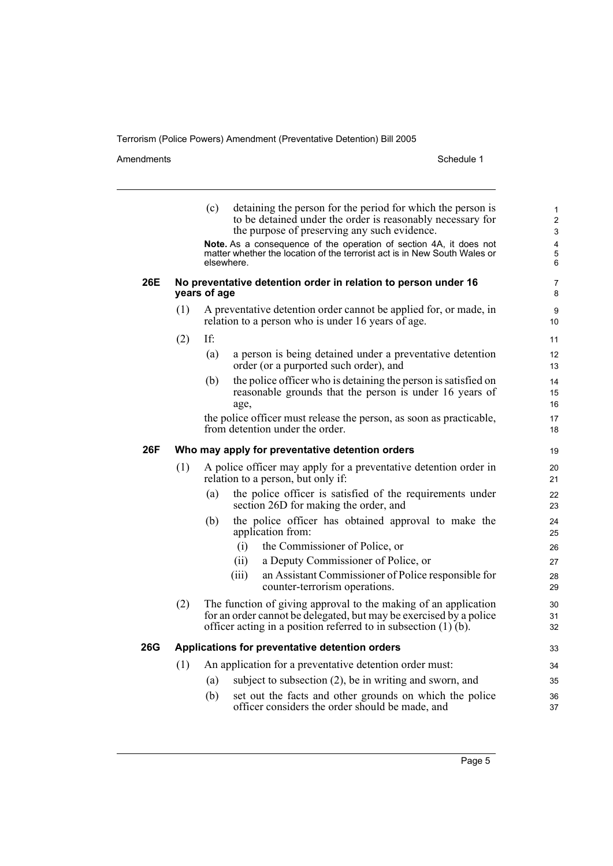Amendments Schedule 1

|            |     | (c)<br>detaining the person for the period for which the person is<br>to be detained under the order is reasonably necessary for<br>the purpose of preserving any such evidence.<br>Note. As a consequence of the operation of section 4A, it does not<br>matter whether the location of the terrorist act is in New South Wales or<br>elsewhere. | $\mathbf{1}$<br>2<br>3<br>4<br>$\mathbf 5$<br>6 |
|------------|-----|---------------------------------------------------------------------------------------------------------------------------------------------------------------------------------------------------------------------------------------------------------------------------------------------------------------------------------------------------|-------------------------------------------------|
| <b>26E</b> |     | No preventative detention order in relation to person under 16<br>years of age                                                                                                                                                                                                                                                                    | 7<br>8                                          |
|            | (1) | A preventative detention order cannot be applied for, or made, in<br>relation to a person who is under 16 years of age.                                                                                                                                                                                                                           | 9<br>10                                         |
|            | (2) | If:                                                                                                                                                                                                                                                                                                                                               | 11                                              |
|            |     | (a)<br>a person is being detained under a preventative detention<br>order (or a purported such order), and                                                                                                                                                                                                                                        | 12<br>13                                        |
|            |     | the police officer who is detaining the person is satisfied on<br>(b)<br>reasonable grounds that the person is under 16 years of<br>age,                                                                                                                                                                                                          | 14<br>15<br>16                                  |
|            |     | the police officer must release the person, as soon as practicable,<br>from detention under the order.                                                                                                                                                                                                                                            | 17<br>18                                        |
| 26F        |     | Who may apply for preventative detention orders                                                                                                                                                                                                                                                                                                   | 19                                              |
|            | (1) | A police officer may apply for a preventative detention order in<br>relation to a person, but only if:                                                                                                                                                                                                                                            | 20<br>21                                        |
|            |     | the police officer is satisfied of the requirements under<br>(a)<br>section 26D for making the order, and                                                                                                                                                                                                                                         | 22<br>23                                        |
|            |     | the police officer has obtained approval to make the<br>(b)<br>application from:                                                                                                                                                                                                                                                                  | 24<br>25                                        |
|            |     | (i)<br>the Commissioner of Police, or                                                                                                                                                                                                                                                                                                             | 26                                              |
|            |     | (ii)<br>a Deputy Commissioner of Police, or                                                                                                                                                                                                                                                                                                       | 27                                              |
|            |     | (iii)<br>an Assistant Commissioner of Police responsible for<br>counter-terrorism operations.                                                                                                                                                                                                                                                     | 28<br>29                                        |
|            | (2) | The function of giving approval to the making of an application<br>for an order cannot be delegated, but may be exercised by a police<br>officer acting in a position referred to in subsection $(1)$ (b).                                                                                                                                        | 30<br>31<br>32                                  |
| 26G        |     | Applications for preventative detention orders                                                                                                                                                                                                                                                                                                    | 33                                              |
|            | (1) | An application for a preventative detention order must:                                                                                                                                                                                                                                                                                           | 34                                              |
|            |     | subject to subsection $(2)$ , be in writing and sworn, and<br>(a)                                                                                                                                                                                                                                                                                 | 35                                              |
|            |     | set out the facts and other grounds on which the police<br>(b)<br>officer considers the order should be made, and                                                                                                                                                                                                                                 | 36<br>37                                        |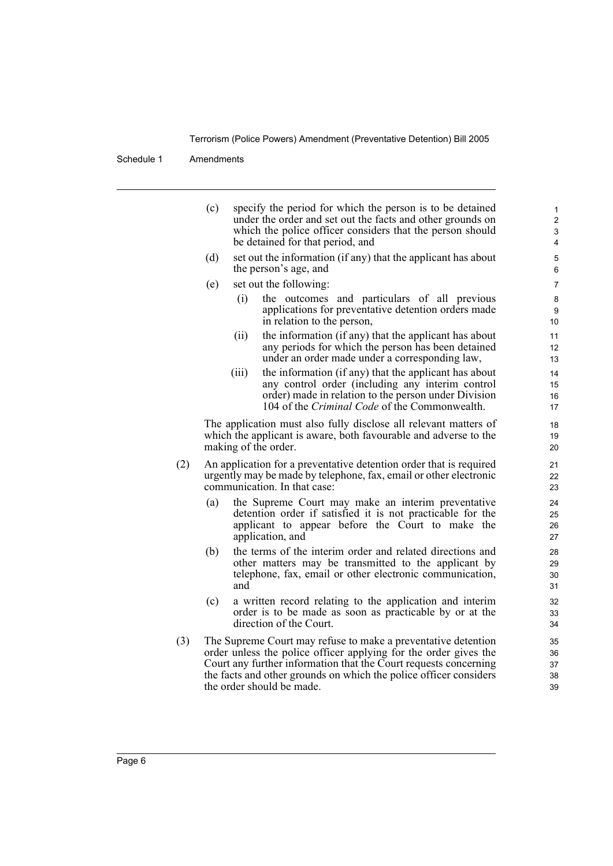|     | (c) | specify the period for which the person is to be detained<br>under the order and set out the facts and other grounds on<br>which the police officer considers that the person should<br>be detained for that period, and                                                                                | 1<br>$\overline{c}$<br>3<br>4 |
|-----|-----|---------------------------------------------------------------------------------------------------------------------------------------------------------------------------------------------------------------------------------------------------------------------------------------------------------|-------------------------------|
|     | (d) | set out the information (if any) that the applicant has about<br>the person's age, and                                                                                                                                                                                                                  | 5<br>6                        |
|     | (e) | set out the following:                                                                                                                                                                                                                                                                                  | $\overline{7}$                |
|     |     | the outcomes and particulars of all previous<br>(i)<br>applications for preventative detention orders made<br>in relation to the person,                                                                                                                                                                | 8<br>9<br>10                  |
|     |     | the information (if any) that the applicant has about<br>(ii)<br>any periods for which the person has been detained<br>under an order made under a corresponding law,                                                                                                                                   | 11<br>12<br>13                |
|     |     | the information (if any) that the applicant has about<br>(iii)<br>any control order (including any interim control<br>order) made in relation to the person under Division<br>104 of the <i>Criminal Code</i> of the Commonwealth.                                                                      | 14<br>15<br>16<br>17          |
|     |     | The application must also fully disclose all relevant matters of<br>which the applicant is aware, both favourable and adverse to the<br>making of the order.                                                                                                                                            | 18<br>19<br>20                |
| (2) |     | An application for a preventative detention order that is required<br>urgently may be made by telephone, fax, email or other electronic<br>communication. In that case:                                                                                                                                 | 21<br>22<br>23                |
|     | (a) | the Supreme Court may make an interim preventative<br>detention order if satisfied it is not practicable for the<br>applicant to appear before the Court to make the<br>application, and                                                                                                                | 24<br>25<br>26<br>27          |
|     | (b) | the terms of the interim order and related directions and<br>other matters may be transmitted to the applicant by<br>telephone, fax, email or other electronic communication,<br>and                                                                                                                    | 28<br>29<br>30<br>31          |
|     | (c) | a written record relating to the application and interim<br>order is to be made as soon as practicable by or at the<br>direction of the Court.                                                                                                                                                          | 32<br>33<br>34                |
| (3) |     | The Supreme Court may refuse to make a preventative detention<br>order unless the police officer applying for the order gives the<br>Court any further information that the Court requests concerning<br>the facts and other grounds on which the police officer considers<br>the order should be made. | 35<br>36<br>37<br>38<br>39    |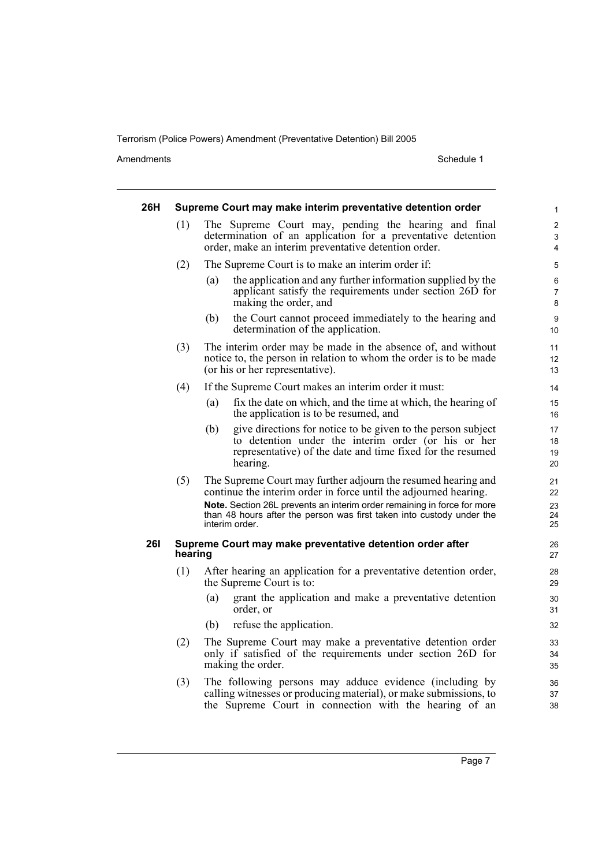Amendments Schedule 1

| 26H        |         | Supreme Court may make interim preventative detention order                                                                                                                                                                                                                                             | $\mathbf{1}$               |
|------------|---------|---------------------------------------------------------------------------------------------------------------------------------------------------------------------------------------------------------------------------------------------------------------------------------------------------------|----------------------------|
|            | (1)     | The Supreme Court may, pending the hearing and final<br>determination of an application for a preventative detention<br>order, make an interim preventative detention order.                                                                                                                            | 2<br>3<br>4                |
|            | (2)     | The Supreme Court is to make an interim order if:                                                                                                                                                                                                                                                       | 5                          |
|            |         | the application and any further information supplied by the<br>(a)<br>applicant satisfy the requirements under section 26D for<br>making the order, and                                                                                                                                                 | 6<br>$\overline{7}$<br>8   |
|            |         | the Court cannot proceed immediately to the hearing and<br>(b)<br>determination of the application.                                                                                                                                                                                                     | 9<br>10                    |
|            | (3)     | The interim order may be made in the absence of, and without<br>notice to, the person in relation to whom the order is to be made<br>(or his or her representative).                                                                                                                                    | 11<br>12<br>13             |
|            | (4)     | If the Supreme Court makes an interim order it must:                                                                                                                                                                                                                                                    | 14                         |
|            |         | fix the date on which, and the time at which, the hearing of<br>(a)<br>the application is to be resumed, and                                                                                                                                                                                            | 15<br>16                   |
|            |         | give directions for notice to be given to the person subject<br>(b)<br>to detention under the interim order (or his or her<br>representative) of the date and time fixed for the resumed<br>hearing.                                                                                                    | 17<br>18<br>19<br>20       |
|            | (5)     | The Supreme Court may further adjourn the resumed hearing and<br>continue the interim order in force until the adjourned hearing.<br>Note. Section 26L prevents an interim order remaining in force for more<br>than 48 hours after the person was first taken into custody under the<br>interim order. | 21<br>22<br>23<br>24<br>25 |
| <b>261</b> | hearing | Supreme Court may make preventative detention order after                                                                                                                                                                                                                                               | 26<br>27                   |
|            | (1)     | After hearing an application for a preventative detention order,<br>the Supreme Court is to:                                                                                                                                                                                                            | 28<br>29                   |
|            |         | grant the application and make a preventative detention<br>(a)<br>order, or                                                                                                                                                                                                                             | 30<br>31                   |
|            |         | refuse the application.<br>(b)                                                                                                                                                                                                                                                                          | 32                         |
|            | (2)     | The Supreme Court may make a preventative detention order<br>only if satisfied of the requirements under section 26D for<br>making the order.                                                                                                                                                           | 33<br>34<br>35             |
|            | (3)     | The following persons may adduce evidence (including by<br>calling witnesses or producing material), or make submissions, to                                                                                                                                                                            | 36<br>37                   |

the Supreme Court in connection with the hearing of an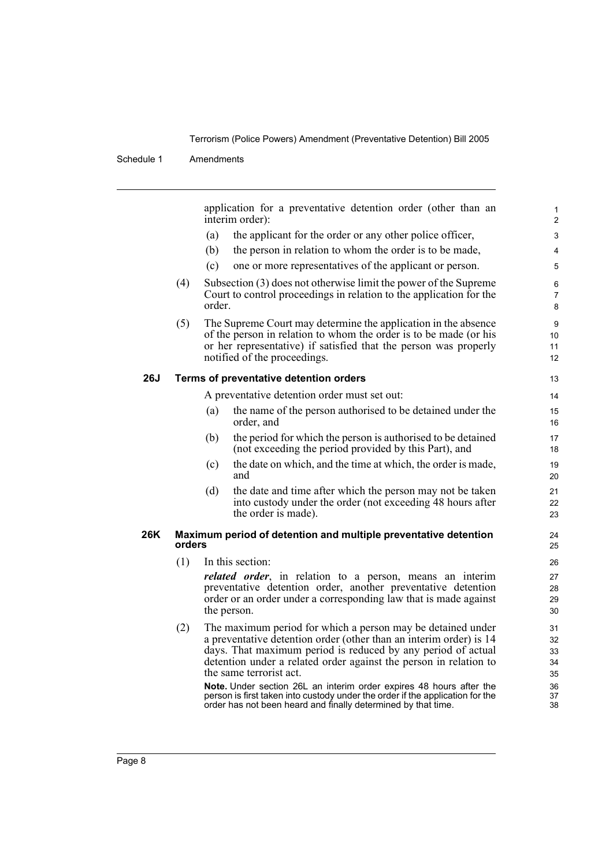Schedule 1 Amendments

application for a preventative detention order (other than an interim order):

- (a) the applicant for the order or any other police officer,
- (b) the person in relation to whom the order is to be made,
- (c) one or more representatives of the applicant or person.
- (4) Subsection (3) does not otherwise limit the power of the Supreme Court to control proceedings in relation to the application for the order.
- (5) The Supreme Court may determine the application in the absence of the person in relation to whom the order is to be made (or his or her representative) if satisfied that the person was properly notified of the proceedings.

#### **26J Terms of preventative detention orders**

A preventative detention order must set out:

- (a) the name of the person authorised to be detained under the order, and
- (b) the period for which the person is authorised to be detained (not exceeding the period provided by this Part), and
- (c) the date on which, and the time at which, the order is made, and
- (d) the date and time after which the person may not be taken into custody under the order (not exceeding 48 hours after the order is made).

#### **26K Maximum period of detention and multiple preventative detention orders**

(1) In this section:

*related order*, in relation to a person, means an interim preventative detention order, another preventative detention order or an order under a corresponding law that is made against the person.

(2) The maximum period for which a person may be detained under a preventative detention order (other than an interim order) is 14 days. That maximum period is reduced by any period of actual detention under a related order against the person in relation to the same terrorist act.

**Note.** Under section 26L an interim order expires 48 hours after the person is first taken into custody under the order if the application for the order has not been heard and finally determined by that time.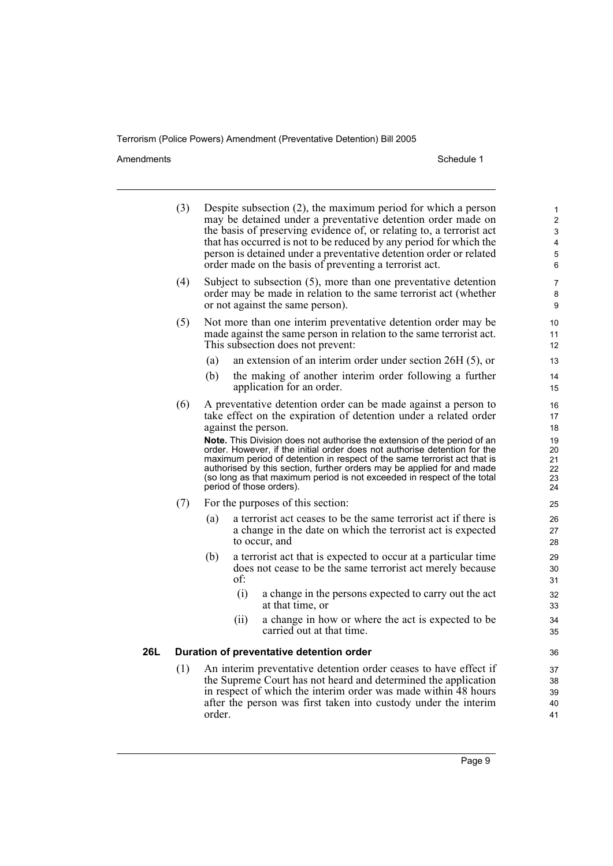Amendments Schedule 1

|     | (3) | Despite subsection $(2)$ , the maximum period for which a person<br>may be detained under a preventative detention order made on<br>the basis of preserving evidence of, or relating to, a terrorist act<br>that has occurred is not to be reduced by any period for which the<br>person is detained under a preventative detention order or related<br>order made on the basis of preventing a terrorist act.            | 1<br>$\overline{c}$<br>3<br>4<br>5<br>6 |
|-----|-----|---------------------------------------------------------------------------------------------------------------------------------------------------------------------------------------------------------------------------------------------------------------------------------------------------------------------------------------------------------------------------------------------------------------------------|-----------------------------------------|
|     | (4) | Subject to subsection $(5)$ , more than one preventative detention<br>order may be made in relation to the same terrorist act (whether<br>or not against the same person).                                                                                                                                                                                                                                                | $\overline{7}$<br>8<br>9                |
|     | (5) | Not more than one interim preventative detention order may be<br>made against the same person in relation to the same terrorist act.<br>This subsection does not prevent:                                                                                                                                                                                                                                                 | 10<br>11<br>12                          |
|     |     | an extension of an interim order under section $26H(5)$ , or<br>(a)                                                                                                                                                                                                                                                                                                                                                       | 13                                      |
|     |     | the making of another interim order following a further<br>(b)<br>application for an order.                                                                                                                                                                                                                                                                                                                               | 14<br>15                                |
|     | (6) | A preventative detention order can be made against a person to<br>take effect on the expiration of detention under a related order<br>against the person.                                                                                                                                                                                                                                                                 | 16<br>17<br>18                          |
|     |     | <b>Note.</b> This Division does not authorise the extension of the period of an<br>order. However, if the initial order does not authorise detention for the<br>maximum period of detention in respect of the same terrorist act that is<br>authorised by this section, further orders may be applied for and made<br>(so long as that maximum period is not exceeded in respect of the total<br>period of those orders). | 19<br>20<br>21<br>22<br>23<br>24        |
|     | (7) | For the purposes of this section:                                                                                                                                                                                                                                                                                                                                                                                         | 25                                      |
|     |     | a terrorist act ceases to be the same terrorist act if there is<br>(a)<br>a change in the date on which the terrorist act is expected<br>to occur, and                                                                                                                                                                                                                                                                    | 26<br>27<br>28                          |
|     |     | (b)<br>a terrorist act that is expected to occur at a particular time<br>does not cease to be the same terrorist act merely because<br>of:                                                                                                                                                                                                                                                                                | 29<br>30<br>31                          |
|     |     | (i)<br>a change in the persons expected to carry out the act<br>at that time, or                                                                                                                                                                                                                                                                                                                                          | 32<br>33                                |
|     |     | a change in how or where the act is expected to be<br>(ii)<br>carried out at that time.                                                                                                                                                                                                                                                                                                                                   | 34<br>35                                |
| 26L |     | Duration of preventative detention order                                                                                                                                                                                                                                                                                                                                                                                  | 36                                      |
|     | (1) | An interim preventative detention order ceases to have effect if<br>the Supreme Court has not heard and determined the application<br>in respect of which the interim order was made within 48 hours<br>after the person was first taken into custody under the interim<br>order.                                                                                                                                         | 37<br>38<br>39<br>40<br>41              |
|     |     |                                                                                                                                                                                                                                                                                                                                                                                                                           |                                         |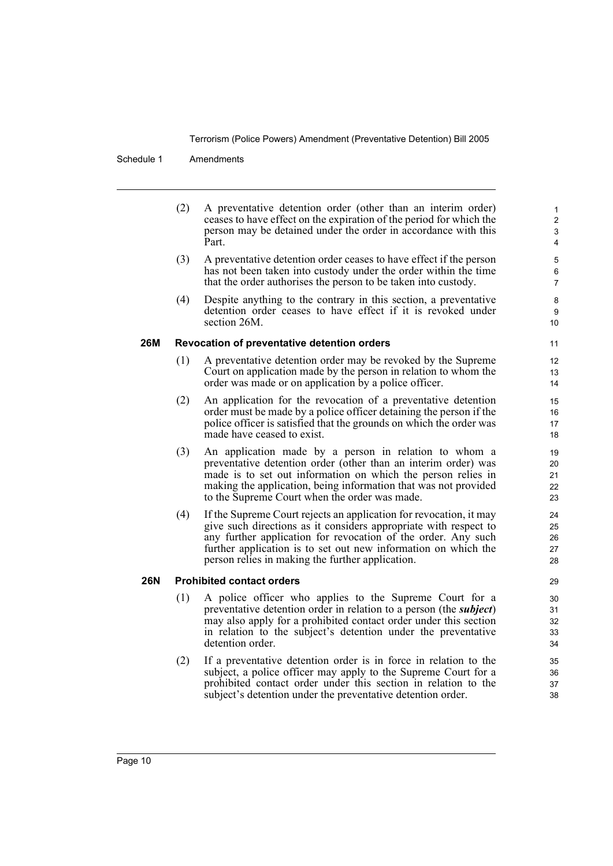#### Schedule 1 Amendments

(2) A preventative detention order (other than an interim order) ceases to have effect on the expiration of the period for which the person may be detained under the order in accordance with this Part.

- (3) A preventative detention order ceases to have effect if the person has not been taken into custody under the order within the time that the order authorises the person to be taken into custody.
- (4) Despite anything to the contrary in this section, a preventative detention order ceases to have effect if it is revoked under section 26M.

#### **26M Revocation of preventative detention orders**

- (1) A preventative detention order may be revoked by the Supreme Court on application made by the person in relation to whom the order was made or on application by a police officer.
- (2) An application for the revocation of a preventative detention order must be made by a police officer detaining the person if the police officer is satisfied that the grounds on which the order was made have ceased to exist.
- (3) An application made by a person in relation to whom a preventative detention order (other than an interim order) was made is to set out information on which the person relies in making the application, being information that was not provided to the Supreme Court when the order was made.
- (4) If the Supreme Court rejects an application for revocation, it may give such directions as it considers appropriate with respect to any further application for revocation of the order. Any such further application is to set out new information on which the person relies in making the further application.

## **26N Prohibited contact orders**

- (1) A police officer who applies to the Supreme Court for a preventative detention order in relation to a person (the *subject*) may also apply for a prohibited contact order under this section in relation to the subject's detention under the preventative detention order.
- (2) If a preventative detention order is in force in relation to the subject, a police officer may apply to the Supreme Court for a prohibited contact order under this section in relation to the subject's detention under the preventative detention order.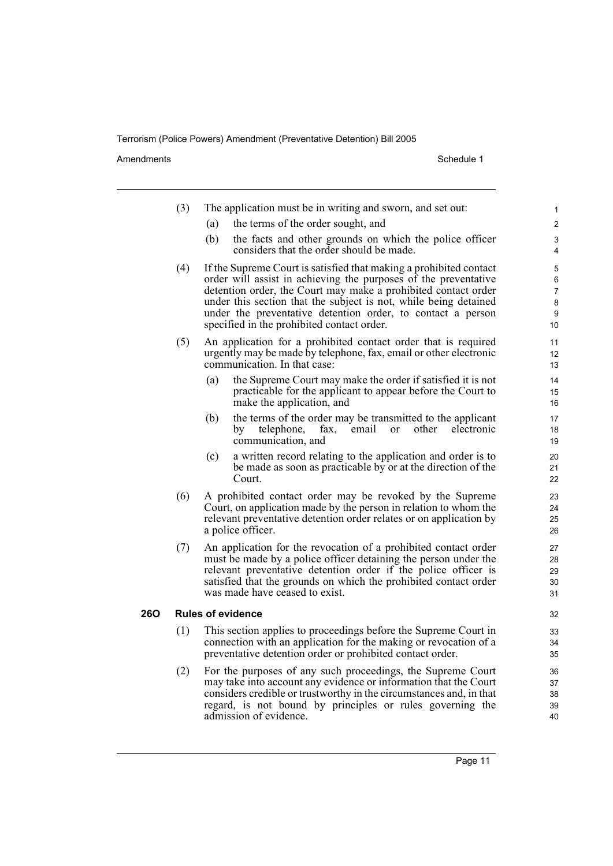Amendments Schedule 1

|            | (3) | The application must be in writing and sworn, and set out:<br>the terms of the order sought, and<br>(a)                                                                                                                                                                                                                                                                                  | $\mathbf{1}$<br>$\overline{2}$           |
|------------|-----|------------------------------------------------------------------------------------------------------------------------------------------------------------------------------------------------------------------------------------------------------------------------------------------------------------------------------------------------------------------------------------------|------------------------------------------|
|            |     | (b)<br>the facts and other grounds on which the police officer<br>considers that the order should be made.                                                                                                                                                                                                                                                                               | 3<br>4                                   |
|            | (4) | If the Supreme Court is satisfied that making a prohibited contact<br>order will assist in achieving the purposes of the preventative<br>detention order, the Court may make a prohibited contact order<br>under this section that the subject is not, while being detained<br>under the preventative detention order, to contact a person<br>specified in the prohibited contact order. | 5<br>6<br>$\overline{7}$<br>8<br>9<br>10 |
|            | (5) | An application for a prohibited contact order that is required<br>urgently may be made by telephone, fax, email or other electronic<br>communication. In that case:                                                                                                                                                                                                                      | 11<br>12<br>13                           |
|            |     | the Supreme Court may make the order if satisfied it is not<br>(a)<br>practicable for the applicant to appear before the Court to<br>make the application, and                                                                                                                                                                                                                           | 14<br>15<br>16                           |
|            |     | the terms of the order may be transmitted to the applicant<br>(b)<br>email<br>telephone, fax,<br>other<br>electronic<br>by<br>or<br>communication, and                                                                                                                                                                                                                                   | 17<br>18<br>19                           |
|            |     | a written record relating to the application and order is to<br>(c)<br>be made as soon as practicable by or at the direction of the<br>Court.                                                                                                                                                                                                                                            | 20<br>21<br>22                           |
|            | (6) | A prohibited contact order may be revoked by the Supreme<br>Court, on application made by the person in relation to whom the<br>relevant preventative detention order relates or on application by<br>a police officer.                                                                                                                                                                  | 23<br>24<br>25<br>26                     |
|            | (7) | An application for the revocation of a prohibited contact order<br>must be made by a police officer detaining the person under the<br>relevant preventative detention order if the police officer is<br>satisfied that the grounds on which the prohibited contact order<br>was made have ceased to exist.                                                                               | 27<br>28<br>29<br>30<br>31               |
| <b>260</b> |     | <b>Rules of evidence</b>                                                                                                                                                                                                                                                                                                                                                                 | 32                                       |
|            | (1) | This section applies to proceedings before the Supreme Court in<br>connection with an application for the making or revocation of a<br>preventative detention order or prohibited contact order.                                                                                                                                                                                         | 33<br>34<br>35                           |
|            | (2) | For the purposes of any such proceedings, the Supreme Court<br>may take into account any evidence or information that the Court<br>considers credible or trustworthy in the circumstances and, in that<br>regard, is not bound by principles or rules governing the<br>admission of evidence.                                                                                            | 36<br>37<br>38<br>39<br>40               |
|            |     |                                                                                                                                                                                                                                                                                                                                                                                          |                                          |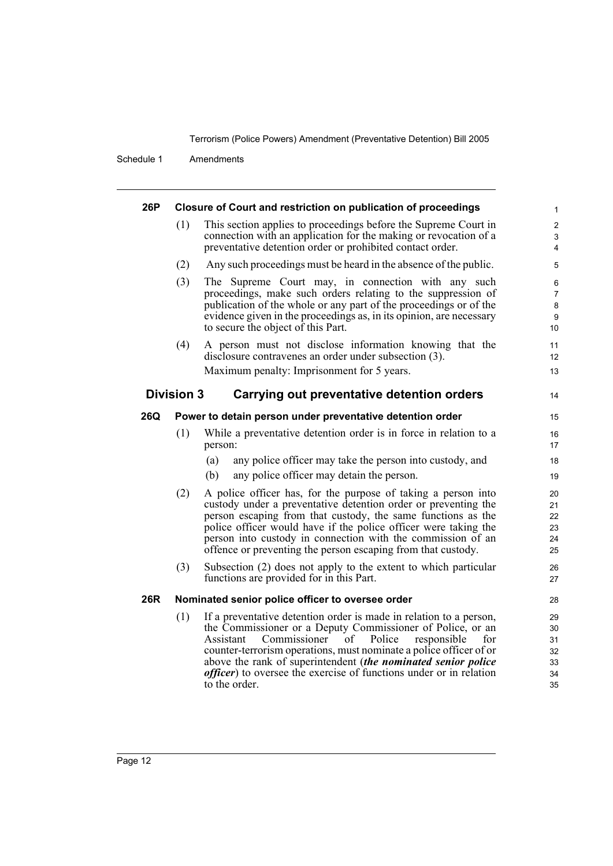| <b>26P</b> |                   | Closure of Court and restriction on publication of proceedings                                                                                                                                                                                                                                                                                                                                                                            | $\mathbf{1}$                           |
|------------|-------------------|-------------------------------------------------------------------------------------------------------------------------------------------------------------------------------------------------------------------------------------------------------------------------------------------------------------------------------------------------------------------------------------------------------------------------------------------|----------------------------------------|
|            | (1)               | This section applies to proceedings before the Supreme Court in<br>connection with an application for the making or revocation of a<br>preventative detention order or prohibited contact order.                                                                                                                                                                                                                                          | 2<br>$\mathbf{3}$<br>4                 |
|            | (2)               | Any such proceedings must be heard in the absence of the public.                                                                                                                                                                                                                                                                                                                                                                          | 5                                      |
|            | (3)               | The Supreme Court may, in connection with any such<br>proceedings, make such orders relating to the suppression of<br>publication of the whole or any part of the proceedings or of the<br>evidence given in the proceedings as, in its opinion, are necessary<br>to secure the object of this Part.                                                                                                                                      | 6<br>7<br>8<br>9<br>10                 |
|            | (4)               | A person must not disclose information knowing that the<br>disclosure contravenes an order under subsection (3).<br>Maximum penalty: Imprisonment for 5 years.                                                                                                                                                                                                                                                                            | 11<br>12<br>13                         |
|            | <b>Division 3</b> | Carrying out preventative detention orders                                                                                                                                                                                                                                                                                                                                                                                                | 14                                     |
| 26Q        |                   | Power to detain person under preventative detention order                                                                                                                                                                                                                                                                                                                                                                                 | 15                                     |
|            | (1)               | While a preventative detention order is in force in relation to a<br>person:                                                                                                                                                                                                                                                                                                                                                              | 16<br>17                               |
|            |                   | (a)<br>any police officer may take the person into custody, and                                                                                                                                                                                                                                                                                                                                                                           | 18                                     |
|            |                   | (b)<br>any police officer may detain the person.                                                                                                                                                                                                                                                                                                                                                                                          | 19                                     |
|            | (2)               | A police officer has, for the purpose of taking a person into<br>custody under a preventative detention order or preventing the<br>person escaping from that custody, the same functions as the<br>police officer would have if the police officer were taking the<br>person into custody in connection with the commission of an<br>offence or preventing the person escaping from that custody.                                         | 20<br>21<br>22<br>23<br>24<br>25       |
|            | (3)               | Subsection (2) does not apply to the extent to which particular<br>functions are provided for in this Part.                                                                                                                                                                                                                                                                                                                               | 26<br>27                               |
| 26R        |                   | Nominated senior police officer to oversee order                                                                                                                                                                                                                                                                                                                                                                                          | 28                                     |
|            | (1)               | If a preventative detention order is made in relation to a person,<br>the Commissioner or a Deputy Commissioner of Police, or an<br>Assistant<br>Commissioner<br>Police<br>of<br>responsible<br>for<br>counter-terrorism operations, must nominate a police officer of or<br>above the rank of superintendent (the nominated senior police<br><i>officer</i> ) to oversee the exercise of functions under or in relation<br>to the order. | 29<br>30<br>31<br>32<br>33<br>34<br>35 |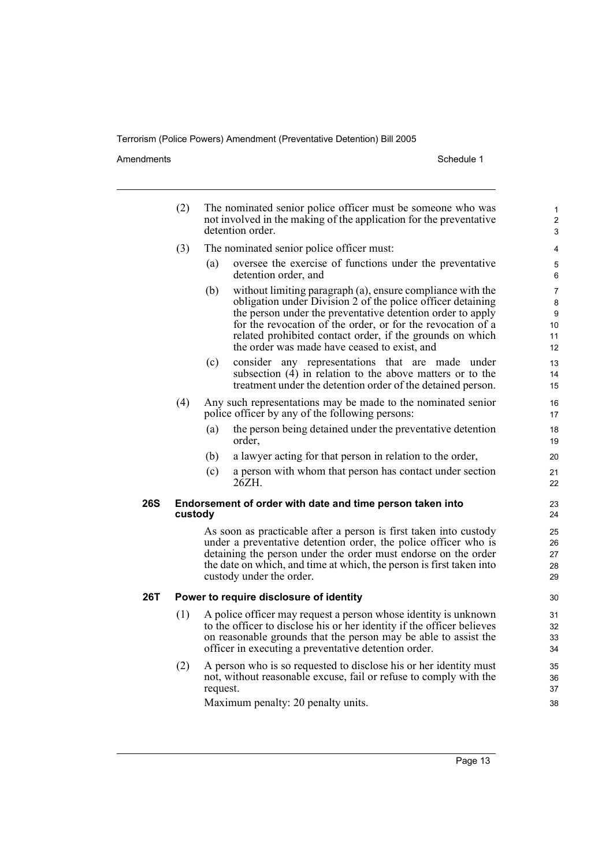Amendments Schedule 1

|     | (2)     |          | The nominated senior police officer must be someone who was<br>not involved in the making of the application for the preventative<br>detention order.                                                                                                                                                                                                               | 1<br>$\overline{c}$<br>3                   |
|-----|---------|----------|---------------------------------------------------------------------------------------------------------------------------------------------------------------------------------------------------------------------------------------------------------------------------------------------------------------------------------------------------------------------|--------------------------------------------|
|     | (3)     |          | The nominated senior police officer must:                                                                                                                                                                                                                                                                                                                           | 4                                          |
|     |         | (a)      | oversee the exercise of functions under the preventative<br>detention order, and                                                                                                                                                                                                                                                                                    | 5<br>6                                     |
|     |         | (b)      | without limiting paragraph (a), ensure compliance with the<br>obligation under Division 2 of the police officer detaining<br>the person under the preventative detention order to apply<br>for the revocation of the order, or for the revocation of a<br>related prohibited contact order, if the grounds on which<br>the order was made have ceased to exist, and | $\overline{7}$<br>8<br>9<br>10<br>11<br>12 |
|     |         | (c)      | consider any representations that are made under<br>subsection (4) in relation to the above matters or to the<br>treatment under the detention order of the detained person.                                                                                                                                                                                        | 13<br>14<br>15                             |
|     | (4)     |          | Any such representations may be made to the nominated senior<br>police officer by any of the following persons:                                                                                                                                                                                                                                                     | 16<br>17                                   |
|     |         | (a)      | the person being detained under the preventative detention<br>order.                                                                                                                                                                                                                                                                                                | 18<br>19                                   |
|     |         | (b)      | a lawyer acting for that person in relation to the order,                                                                                                                                                                                                                                                                                                           | 20                                         |
|     |         | (c)      | a person with whom that person has contact under section<br>26ZH.                                                                                                                                                                                                                                                                                                   | 21<br>22                                   |
| 26S | custody |          | Endorsement of order with date and time person taken into                                                                                                                                                                                                                                                                                                           | 23<br>24                                   |
|     |         |          | As soon as practicable after a person is first taken into custody<br>under a preventative detention order, the police officer who is<br>detaining the person under the order must endorse on the order<br>the date on which, and time at which, the person is first taken into<br>custody under the order.                                                          | 25<br>26<br>27<br>28<br>29                 |
| 26T |         |          | Power to require disclosure of identity                                                                                                                                                                                                                                                                                                                             | 30                                         |
|     | (1)     |          | A police officer may request a person whose identity is unknown<br>to the officer to disclose his or her identity if the officer believes<br>on reasonable grounds that the person may be able to assist the<br>officer in executing a preventative detention order.                                                                                                | 31<br>32<br>33<br>34                       |
|     | (2)     | request. | A person who is so requested to disclose his or her identity must<br>not, without reasonable excuse, fail or refuse to comply with the                                                                                                                                                                                                                              | 35<br>36<br>37                             |
|     |         |          | Maximum penalty: 20 penalty units.                                                                                                                                                                                                                                                                                                                                  | 38                                         |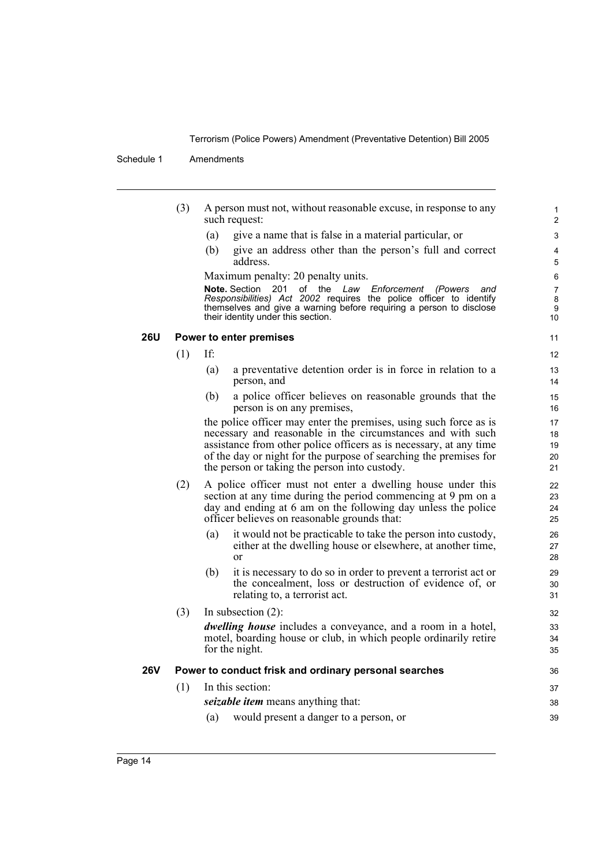#### Schedule 1 Amendments

| (3) | A person must not, without reasonable excuse, in response to any |
|-----|------------------------------------------------------------------|
|     | such request:                                                    |

- (a) give a name that is false in a material particular, or
- (b) give an address other than the person's full and correct address.

Maximum penalty: 20 penalty units.

**Note.** Section 201 of the *Law Enforcement (Powers and Responsibilities) Act 2002* requires the police officer to identify themselves and give a warning before requiring a person to disclose their identity under this section.

#### **26U Power to enter premises**

- (1) If:
	- (a) a preventative detention order is in force in relation to a person, and
	- (b) a police officer believes on reasonable grounds that the person is on any premises,

the police officer may enter the premises, using such force as is necessary and reasonable in the circumstances and with such assistance from other police officers as is necessary, at any time of the day or night for the purpose of searching the premises for the person or taking the person into custody.

- (2) A police officer must not enter a dwelling house under this section at any time during the period commencing at 9 pm on a day and ending at 6 am on the following day unless the police officer believes on reasonable grounds that:
	- (a) it would not be practicable to take the person into custody, either at the dwelling house or elsewhere, at another time, or
	- (b) it is necessary to do so in order to prevent a terrorist act or the concealment, loss or destruction of evidence of, or relating to, a terrorist act.
- (3) In subsection (2): *dwelling house* includes a conveyance, and a room in a hotel, motel, boarding house or club, in which people ordinarily retire for the night. **26V Power to conduct frisk and ordinary personal searches**
	- (1) In this section: *seizable item* means anything that: (a) would present a danger to a person, or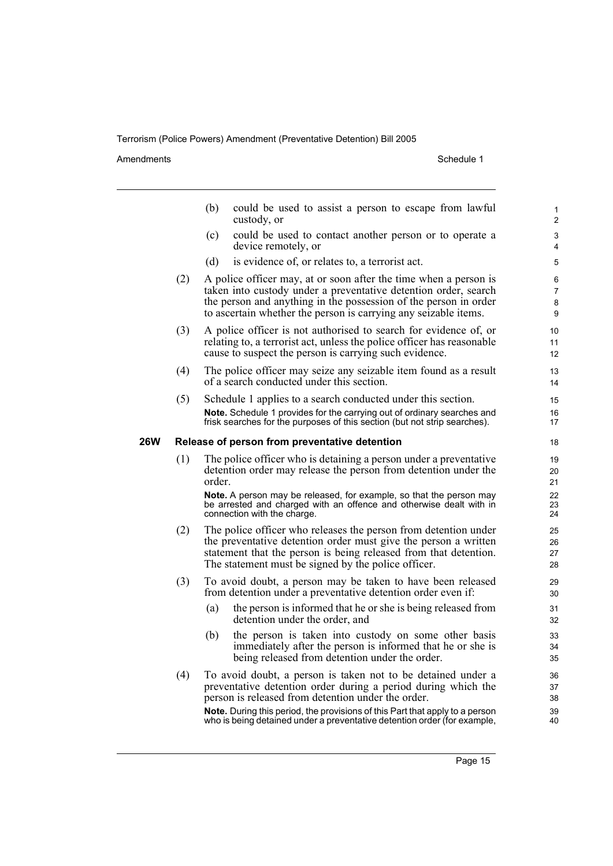Amendments Schedule 1

|     |     | (b)<br>could be used to assist a person to escape from lawful<br>custody, or                                                                                                                                                                                                                                                                    | 1<br>$\overline{2}$           |
|-----|-----|-------------------------------------------------------------------------------------------------------------------------------------------------------------------------------------------------------------------------------------------------------------------------------------------------------------------------------------------------|-------------------------------|
|     |     | could be used to contact another person or to operate a<br>(c)<br>device remotely, or                                                                                                                                                                                                                                                           | 3<br>4                        |
|     |     | is evidence of, or relates to, a terrorist act.<br>(d)                                                                                                                                                                                                                                                                                          | 5                             |
|     | (2) | A police officer may, at or soon after the time when a person is<br>taken into custody under a preventative detention order, search<br>the person and anything in the possession of the person in order<br>to ascertain whether the person is carrying any seizable items.                                                                      | 6<br>$\overline{7}$<br>8<br>9 |
|     | (3) | A police officer is not authorised to search for evidence of, or<br>relating to, a terrorist act, unless the police officer has reasonable<br>cause to suspect the person is carrying such evidence.                                                                                                                                            | 10<br>11<br>12 <sup>2</sup>   |
|     | (4) | The police officer may seize any seizable item found as a result<br>of a search conducted under this section.                                                                                                                                                                                                                                   | 13<br>14                      |
|     | (5) | Schedule 1 applies to a search conducted under this section.<br>Note. Schedule 1 provides for the carrying out of ordinary searches and<br>frisk searches for the purposes of this section (but not strip searches).                                                                                                                            | 15<br>16<br>17                |
| 26W |     | Release of person from preventative detention                                                                                                                                                                                                                                                                                                   | 18                            |
|     | (1) | The police officer who is detaining a person under a preventative<br>detention order may release the person from detention under the<br>order.                                                                                                                                                                                                  | 19<br>20<br>21                |
|     |     | Note. A person may be released, for example, so that the person may<br>be arrested and charged with an offence and otherwise dealt with in<br>connection with the charge.                                                                                                                                                                       | 22<br>23<br>24                |
|     | (2) | The police officer who releases the person from detention under<br>the preventative detention order must give the person a written<br>statement that the person is being released from that detention.<br>The statement must be signed by the police officer.                                                                                   | 25<br>26<br>27<br>28          |
|     | (3) | To avoid doubt, a person may be taken to have been released<br>from detention under a preventative detention order even if:                                                                                                                                                                                                                     | 29<br>30                      |
|     |     | the person is informed that he or she is being released from<br>(a)<br>detention under the order, and                                                                                                                                                                                                                                           | 31<br>32                      |
|     |     | the person is taken into custody on some other basis<br>(b)<br>immediately after the person is informed that he or she is<br>being released from detention under the order.                                                                                                                                                                     | 33<br>34<br>35                |
|     | (4) | To avoid doubt, a person is taken not to be detained under a<br>preventative detention order during a period during which the<br>person is released from detention under the order.<br>Note. During this period, the provisions of this Part that apply to a person<br>who is being detained under a preventative detention order (for example, | 36<br>37<br>38<br>39<br>40    |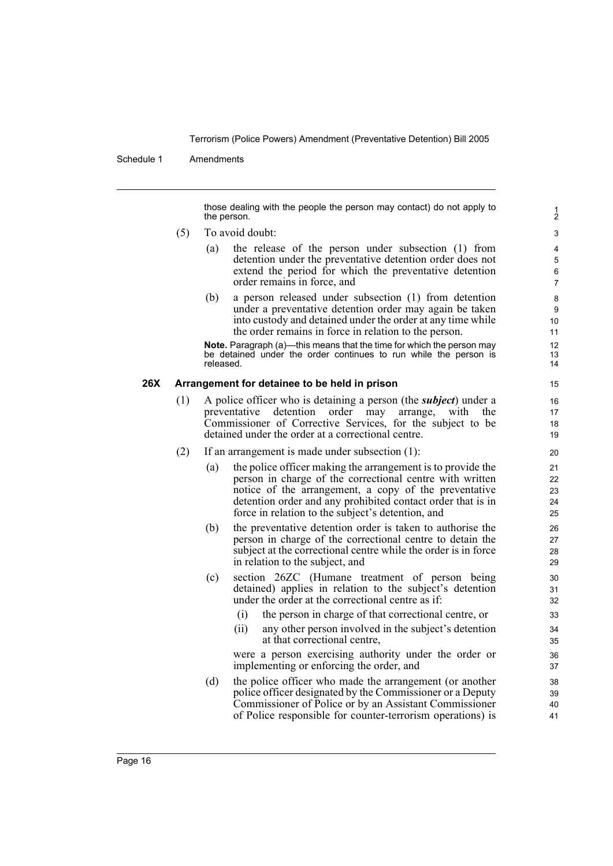Schedule 1 Amendments

those dealing with the people the person may contact) do not apply to the person.

- (5) To avoid doubt:
	- (a) the release of the person under subsection (1) from detention under the preventative detention order does not extend the period for which the preventative detention order remains in force, and
	- (b) a person released under subsection (1) from detention under a preventative detention order may again be taken into custody and detained under the order at any time while the order remains in force in relation to the person.

**Note.** Paragraph (a)—this means that the time for which the person may be detained under the order continues to run while the person is released.

#### **26X Arrangement for detainee to be held in prison**

- (1) A police officer who is detaining a person (the *subject*) under a preventative detention order may arrange, with the Commissioner of Corrective Services, for the subject to be detained under the order at a correctional centre.
- (2) If an arrangement is made under subsection (1):
	- (a) the police officer making the arrangement is to provide the person in charge of the correctional centre with written notice of the arrangement, a copy of the preventative detention order and any prohibited contact order that is in force in relation to the subject's detention, and
	- (b) the preventative detention order is taken to authorise the person in charge of the correctional centre to detain the subject at the correctional centre while the order is in force in relation to the subject, and
	- (c) section 26ZC (Humane treatment of person being detained) applies in relation to the subject's detention under the order at the correctional centre as if:
		- (i) the person in charge of that correctional centre, or
		- (ii) any other person involved in the subject's detention at that correctional centre,

were a person exercising authority under the order or implementing or enforcing the order, and

(d) the police officer who made the arrangement (or another police officer designated by the Commissioner or a Deputy Commissioner of Police or by an Assistant Commissioner of Police responsible for counter-terrorism operations) is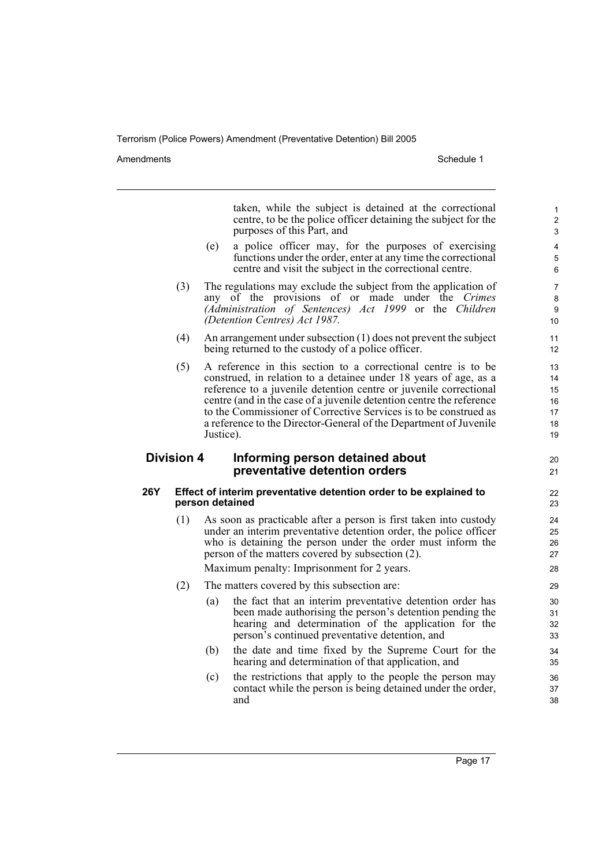Amendments Schedule 1

|     |                   |           | taken, while the subject is detained at the correctional<br>centre, to be the police officer detaining the subject for the<br>purposes of this Part, and                                                                                                                                                                                                                                                                | 1<br>2<br>3                            |
|-----|-------------------|-----------|-------------------------------------------------------------------------------------------------------------------------------------------------------------------------------------------------------------------------------------------------------------------------------------------------------------------------------------------------------------------------------------------------------------------------|----------------------------------------|
|     |                   | (e)       | a police officer may, for the purposes of exercising<br>functions under the order, enter at any time the correctional<br>centre and visit the subject in the correctional centre.                                                                                                                                                                                                                                       | 4<br>5<br>6                            |
|     | (3)               |           | The regulations may exclude the subject from the application of<br>any of the provisions of or made under the Crimes<br>(Administration of Sentences) Act 1999 or the Children<br>(Detention Centres) Act 1987.                                                                                                                                                                                                         | 7<br>8<br>9<br>10                      |
|     | (4)               |           | An arrangement under subsection $(1)$ does not prevent the subject<br>being returned to the custody of a police officer.                                                                                                                                                                                                                                                                                                | 11<br>12                               |
|     | (5)               | Justice). | A reference in this section to a correctional centre is to be<br>construed, in relation to a detainee under 18 years of age, as a<br>reference to a juvenile detention centre or juvenile correctional<br>centre (and in the case of a juvenile detention centre the reference<br>to the Commissioner of Corrective Services is to be construed as<br>a reference to the Director-General of the Department of Juvenile | 13<br>14<br>15<br>16<br>17<br>18<br>19 |
|     | <b>Division 4</b> |           | Informing person detained about<br>preventative detention orders                                                                                                                                                                                                                                                                                                                                                        | 20<br>21                               |
| 26Y |                   |           | Effect of interim preventative detention order to be explained to<br>person detained                                                                                                                                                                                                                                                                                                                                    | 22<br>23                               |
|     | (1)               |           | As soon as practicable after a person is first taken into custody<br>under an interim preventative detention order, the police officer<br>who is detaining the person under the order must inform the<br>person of the matters covered by subsection (2).                                                                                                                                                               | 24<br>25<br>26<br>27                   |
|     |                   |           | Maximum penalty: Imprisonment for 2 years.                                                                                                                                                                                                                                                                                                                                                                              | 28                                     |
|     | (2)               |           | The matters covered by this subsection are:                                                                                                                                                                                                                                                                                                                                                                             | 29                                     |
|     |                   | (a)       | the fact that an interim preventative detention order has<br>been made authorising the person's detention pending the<br>hearing and determination of the application for the<br>person's continued preventative detention, and                                                                                                                                                                                         | 30<br>31<br>32<br>33                   |
|     |                   | (b)       | the date and time fixed by the Supreme Court for the<br>hearing and determination of that application, and                                                                                                                                                                                                                                                                                                              | 34<br>35                               |
|     |                   |           |                                                                                                                                                                                                                                                                                                                                                                                                                         |                                        |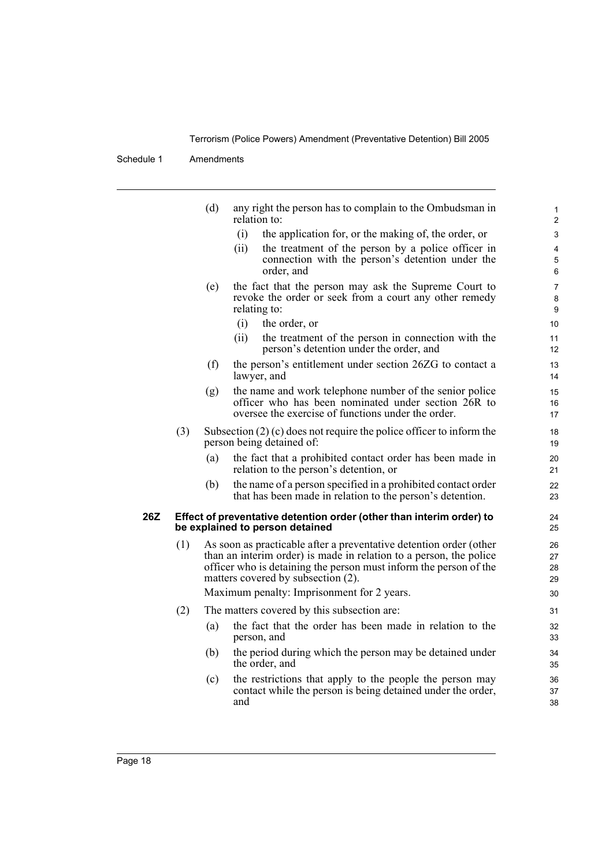Schedule 1 Amendments

| (d) | any right the person has to complain to the Ombudsman in |
|-----|----------------------------------------------------------|
|     | relation to:                                             |

- (i) the application for, or the making of, the order, or
- (ii) the treatment of the person by a police officer in connection with the person's detention under the order, and

- (e) the fact that the person may ask the Supreme Court to revoke the order or seek from a court any other remedy relating to:
	- (i) the order, or
	- (ii) the treatment of the person in connection with the person's detention under the order, and
- (f) the person's entitlement under section 26ZG to contact a lawyer, and
- (g) the name and work telephone number of the senior police officer who has been nominated under section 26R to oversee the exercise of functions under the order.
- (3) Subsection (2) (c) does not require the police officer to inform the person being detained of:
	- (a) the fact that a prohibited contact order has been made in relation to the person's detention, or
	- (b) the name of a person specified in a prohibited contact order that has been made in relation to the person's detention.

#### **26Z Effect of preventative detention order (other than interim order) to be explained to person detained**

(1) As soon as practicable after a preventative detention order (other than an interim order) is made in relation to a person, the police officer who is detaining the person must inform the person of the matters covered by subsection (2).

Maximum penalty: Imprisonment for 2 years.

- (2) The matters covered by this subsection are:
	- (a) the fact that the order has been made in relation to the person, and
	- (b) the period during which the person may be detained under the order, and
	- (c) the restrictions that apply to the people the person may contact while the person is being detained under the order, and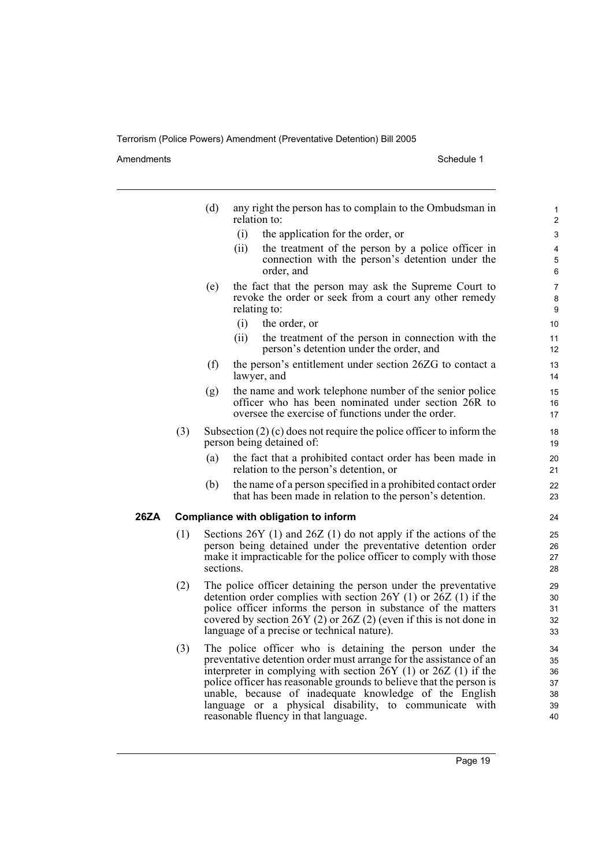Amendments **Amendments** Schedule 1

(d) any right the person has to complain to the Ombudsman in relation to: (i) the application for the order, or (ii) the treatment of the person by a police officer in connection with the person's detention under the order, and (e) the fact that the person may ask the Supreme Court to revoke the order or seek from a court any other remedy relating to: (i) the order, or (ii) the treatment of the person in connection with the person's detention under the order, and (f) the person's entitlement under section 26ZG to contact a lawyer, and (g) the name and work telephone number of the senior police officer who has been nominated under section 26R to oversee the exercise of functions under the order. (3) Subsection (2) (c) does not require the police officer to inform the person being detained of: (a) the fact that a prohibited contact order has been made in relation to the person's detention, or (b) the name of a person specified in a prohibited contact order that has been made in relation to the person's detention. **26ZA Compliance with obligation to inform** (1) Sections 26Y (1) and 26Z (1) do not apply if the actions of the person being detained under the preventative detention order make it impracticable for the police officer to comply with those sections. (2) The police officer detaining the person under the preventative detention order complies with section 26Y (1) or 26Z (1) if the police officer informs the person in substance of the matters covered by section 26Y (2) or 26Z (2) (even if this is not done in language of a precise or technical nature). (3) The police officer who is detaining the person under the preventative detention order must arrange for the assistance of an interpreter in complying with section  $26Y(1)$  or  $26Z(1)$  if the police officer has reasonable grounds to believe that the person is

> unable, because of inadequate knowledge of the English language or a physical disability, to communicate with

reasonable fluency in that language.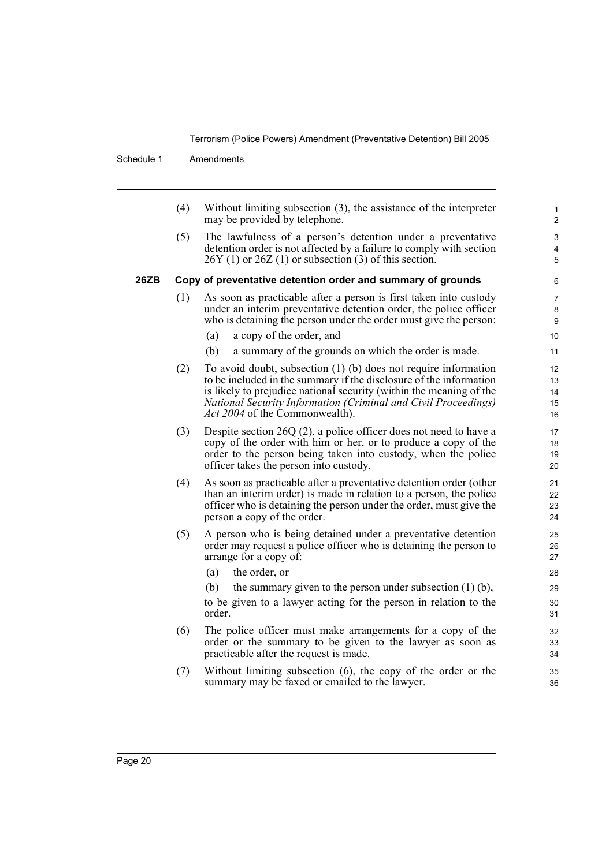|      | (4) | Without limiting subsection $(3)$ , the assistance of the interpreter<br>may be provided by telephone.                                                                                                                                                                                                             | $\mathbf{1}$<br>$\overline{2}$ |
|------|-----|--------------------------------------------------------------------------------------------------------------------------------------------------------------------------------------------------------------------------------------------------------------------------------------------------------------------|--------------------------------|
|      | (5) | The lawfulness of a person's detention under a preventative<br>detention order is not affected by a failure to comply with section<br>$26Y(1)$ or $26Z(1)$ or subsection (3) of this section.                                                                                                                      | 3<br>4<br>5                    |
| 26ZB |     | Copy of preventative detention order and summary of grounds                                                                                                                                                                                                                                                        | 6                              |
|      | (1) | As soon as practicable after a person is first taken into custody<br>under an interim preventative detention order, the police officer<br>who is detaining the person under the order must give the person:                                                                                                        | 7<br>8<br>9                    |
|      |     | a copy of the order, and<br>(a)                                                                                                                                                                                                                                                                                    | 10                             |
|      |     | (b)<br>a summary of the grounds on which the order is made.                                                                                                                                                                                                                                                        | 11                             |
|      | (2) | To avoid doubt, subsection $(1)$ (b) does not require information<br>to be included in the summary if the disclosure of the information<br>is likely to prejudice national security (within the meaning of the<br>National Security Information (Criminal and Civil Proceedings)<br>Act 2004 of the Commonwealth). | 12<br>13<br>14<br>15<br>16     |
|      | (3) | Despite section $26Q(2)$ , a police officer does not need to have a<br>copy of the order with him or her, or to produce a copy of the<br>order to the person being taken into custody, when the police<br>officer takes the person into custody.                                                                   | 17<br>18<br>19<br>20           |
|      | (4) | As soon as practicable after a preventative detention order (other<br>than an interim order) is made in relation to a person, the police<br>officer who is detaining the person under the order, must give the<br>person a copy of the order.                                                                      | 21<br>22<br>23<br>24           |
|      | (5) | A person who is being detained under a preventative detention<br>order may request a police officer who is detaining the person to<br>arrange for a copy of:                                                                                                                                                       | 25<br>26<br>27                 |
|      |     | the order, or<br>(a)                                                                                                                                                                                                                                                                                               | 28                             |
|      |     | the summary given to the person under subsection $(1)$ (b),<br>(b)<br>to be given to a lawyer acting for the person in relation to the<br>order.                                                                                                                                                                   | 29<br>30<br>31                 |
|      | (6) | The police officer must make arrangements for a copy of the<br>order or the summary to be given to the lawyer as soon as<br>practicable after the request is made.                                                                                                                                                 | 32<br>33<br>34                 |
|      | (7) | Without limiting subsection $(6)$ , the copy of the order or the<br>summary may be faxed or emailed to the lawyer.                                                                                                                                                                                                 | 35<br>36                       |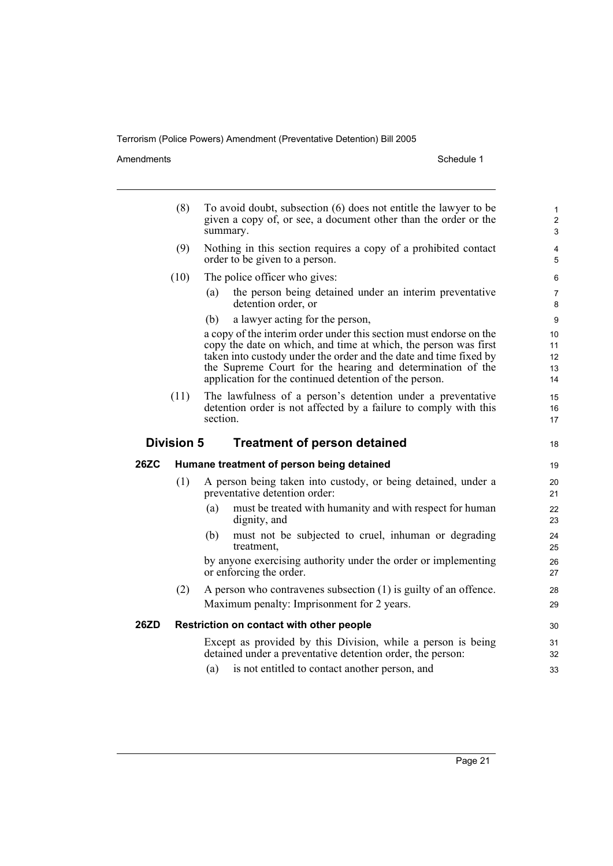Amendments Schedule 1

|      | (8)               | To avoid doubt, subsection (6) does not entitle the lawyer to be<br>given a copy of, or see, a document other than the order or the<br>summary.                                                                                                                                                                                    |                            |  |  |  |
|------|-------------------|------------------------------------------------------------------------------------------------------------------------------------------------------------------------------------------------------------------------------------------------------------------------------------------------------------------------------------|----------------------------|--|--|--|
|      | (9)               | Nothing in this section requires a copy of a prohibited contact<br>order to be given to a person.                                                                                                                                                                                                                                  | 4<br>5                     |  |  |  |
|      | (10)              | The police officer who gives:                                                                                                                                                                                                                                                                                                      | 6                          |  |  |  |
|      |                   | (a)<br>the person being detained under an interim preventative<br>detention order, or                                                                                                                                                                                                                                              | $\overline{7}$<br>8        |  |  |  |
|      |                   | a lawyer acting for the person,<br>(b)                                                                                                                                                                                                                                                                                             | $\boldsymbol{9}$           |  |  |  |
|      |                   | a copy of the interim order under this section must endorse on the<br>copy the date on which, and time at which, the person was first<br>taken into custody under the order and the date and time fixed by<br>the Supreme Court for the hearing and determination of the<br>application for the continued detention of the person. | 10<br>11<br>12<br>13<br>14 |  |  |  |
|      | (11)              | The lawfulness of a person's detention under a preventative<br>detention order is not affected by a failure to comply with this<br>section.                                                                                                                                                                                        | 15<br>16<br>17             |  |  |  |
|      | <b>Division 5</b> | <b>Treatment of person detained</b>                                                                                                                                                                                                                                                                                                | 18                         |  |  |  |
| 26ZC |                   | Humane treatment of person being detained                                                                                                                                                                                                                                                                                          | 19                         |  |  |  |
|      | (1)               | A person being taken into custody, or being detained, under a<br>preventative detention order:                                                                                                                                                                                                                                     | 20<br>21                   |  |  |  |
|      |                   | must be treated with humanity and with respect for human<br>(a)<br>dignity, and                                                                                                                                                                                                                                                    | 22<br>23                   |  |  |  |
|      |                   | must not be subjected to cruel, inhuman or degrading<br>(b)<br>treatment,                                                                                                                                                                                                                                                          | 24<br>25                   |  |  |  |
|      |                   | by anyone exercising authority under the order or implementing<br>or enforcing the order.                                                                                                                                                                                                                                          | 26<br>27                   |  |  |  |
|      | (2)               | A person who contravenes subsection $(1)$ is guilty of an offence.<br>Maximum penalty: Imprisonment for 2 years.                                                                                                                                                                                                                   | 28<br>29                   |  |  |  |
| 26ZD |                   | Restriction on contact with other people                                                                                                                                                                                                                                                                                           | 30                         |  |  |  |
|      |                   | Except as provided by this Division, while a person is being<br>detained under a preventative detention order, the person:                                                                                                                                                                                                         | 31<br>32                   |  |  |  |
|      |                   | is not entitled to contact another person, and<br>(a)                                                                                                                                                                                                                                                                              | 33                         |  |  |  |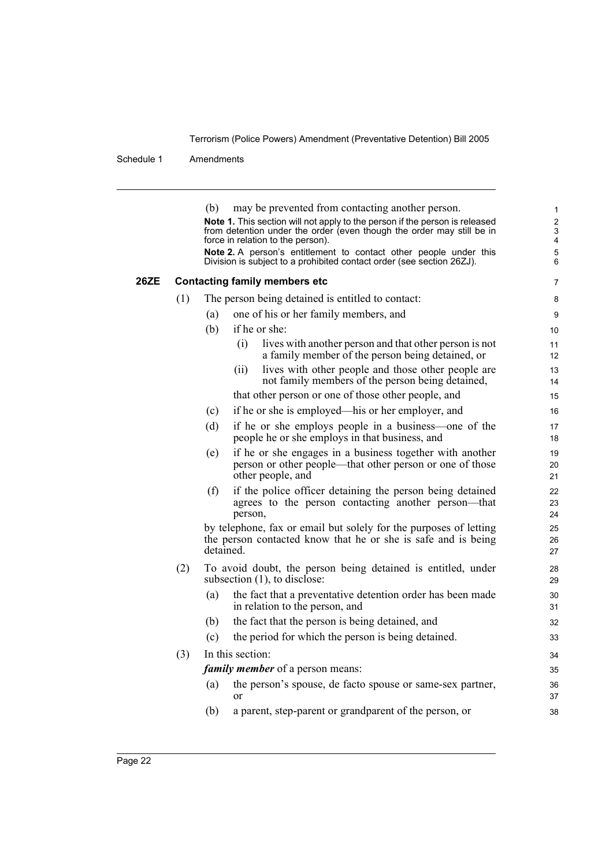|             |     | (b)       | may be prevented from contacting another person.                                                                                                                                          | $\mathbf{1}$                                   |
|-------------|-----|-----------|-------------------------------------------------------------------------------------------------------------------------------------------------------------------------------------------|------------------------------------------------|
|             |     |           | Note 1. This section will not apply to the person if the person is released<br>from detention under the order (even though the order may still be in<br>force in relation to the person). | $\overline{2}$<br>3<br>$\overline{\mathbf{4}}$ |
|             |     |           | Note 2. A person's entitlement to contact other people under this<br>Division is subject to a prohibited contact order (see section 26ZJ).                                                | 5<br>6                                         |
| <b>26ZE</b> |     |           | <b>Contacting family members etc</b>                                                                                                                                                      | 7                                              |
|             | (1) |           | The person being detained is entitled to contact:                                                                                                                                         | 8                                              |
|             |     | (a)       | one of his or her family members, and                                                                                                                                                     | 9                                              |
|             |     | (b)       | if he or she:                                                                                                                                                                             | 10                                             |
|             |     |           | (i)<br>lives with another person and that other person is not<br>a family member of the person being detained, or                                                                         | 11<br>12                                       |
|             |     |           | lives with other people and those other people are<br>(ii)<br>not family members of the person being detained,                                                                            | 13<br>14                                       |
|             |     |           | that other person or one of those other people, and                                                                                                                                       | 15                                             |
|             |     | (c)       | if he or she is employed—his or her employer, and                                                                                                                                         | 16                                             |
|             |     | (d)       | if he or she employs people in a business—one of the<br>people he or she employs in that business, and                                                                                    | 17<br>18                                       |
|             |     | (e)       | if he or she engages in a business together with another<br>person or other people—that other person or one of those<br>other people, and                                                 | 19<br>20<br>21                                 |
|             |     | (f)       | if the police officer detaining the person being detained<br>agrees to the person contacting another person—that<br>person,                                                               | 22<br>23<br>24                                 |
|             |     | detained. | by telephone, fax or email but solely for the purposes of letting<br>the person contacted know that he or she is safe and is being                                                        | 25<br>26<br>27                                 |
|             | (2) |           | To avoid doubt, the person being detained is entitled, under<br>subsection $(1)$ , to disclose:                                                                                           | 28<br>29                                       |
|             |     | (a)       | the fact that a preventative detention order has been made<br>in relation to the person, and                                                                                              | 30<br>31                                       |
|             |     | (b)       | the fact that the person is being detained, and                                                                                                                                           | 32                                             |
|             |     | (c)       | the period for which the person is being detained.                                                                                                                                        | 33                                             |
|             | (3) |           | In this section:                                                                                                                                                                          | 34                                             |
|             |     |           | <i>family member</i> of a person means:                                                                                                                                                   | 35                                             |
|             |     | (a)       | the person's spouse, de facto spouse or same-sex partner,<br>or                                                                                                                           | 36<br>37                                       |
|             |     | (b)       | a parent, step-parent or grandparent of the person, or                                                                                                                                    | 38                                             |
|             |     |           |                                                                                                                                                                                           |                                                |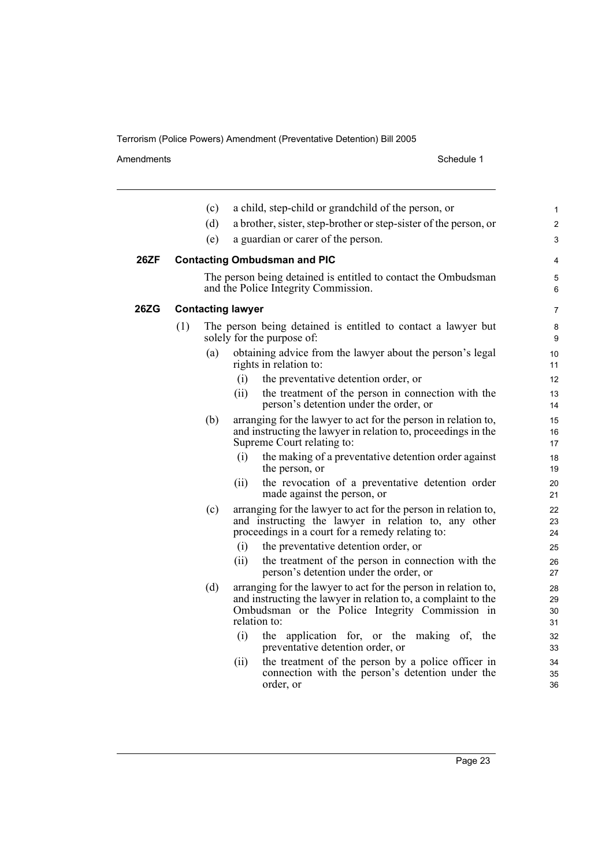Amendments Schedule 1

|             |     | (c) |                          | a child, step-child or grandchild of the person, or                                                                                                                                | $\mathbf{1}$          |
|-------------|-----|-----|--------------------------|------------------------------------------------------------------------------------------------------------------------------------------------------------------------------------|-----------------------|
|             |     | (d) |                          | a brother, sister, step-brother or step-sister of the person, or                                                                                                                   | 2                     |
|             |     | (e) |                          | a guardian or carer of the person.                                                                                                                                                 | 3                     |
| <b>26ZF</b> |     |     |                          | <b>Contacting Ombudsman and PIC</b>                                                                                                                                                | 4                     |
|             |     |     |                          | The person being detained is entitled to contact the Ombudsman<br>and the Police Integrity Commission.                                                                             | 5<br>6                |
| 26ZG        |     |     | <b>Contacting lawyer</b> |                                                                                                                                                                                    | $\overline{7}$        |
|             | (1) |     |                          | The person being detained is entitled to contact a lawyer but<br>solely for the purpose of:                                                                                        | 8<br>$\boldsymbol{9}$ |
|             |     | (a) |                          | obtaining advice from the lawyer about the person's legal<br>rights in relation to:                                                                                                | 10<br>11              |
|             |     |     | (i)                      | the preventative detention order, or                                                                                                                                               | 12                    |
|             |     |     | (ii)                     | the treatment of the person in connection with the<br>person's detention under the order, or                                                                                       | 13<br>14              |
|             |     | (b) |                          | arranging for the lawyer to act for the person in relation to,<br>and instructing the lawyer in relation to, proceedings in the<br>Supreme Court relating to:                      | 15<br>16<br>17        |
|             |     |     | (i)                      | the making of a preventative detention order against<br>the person, or                                                                                                             | 18<br>19              |
|             |     |     | (i)                      | the revocation of a preventative detention order<br>made against the person, or                                                                                                    | 20<br>21              |
|             |     | (c) |                          | arranging for the lawyer to act for the person in relation to,<br>and instructing the lawyer in relation to, any other<br>proceedings in a court for a remedy relating to:         | 22<br>23<br>24        |
|             |     |     | (i)                      | the preventative detention order, or                                                                                                                                               | 25                    |
|             |     |     | (ii)                     | the treatment of the person in connection with the<br>person's detention under the order, or                                                                                       | 26<br>27              |
|             |     | (d) | relation to:             | arranging for the lawyer to act for the person in relation to,<br>and instructing the lawyer in relation to, a complaint to the<br>Ombudsman or the Police Integrity Commission in | 28<br>29<br>30<br>31  |
|             |     |     | (i)                      | the<br>application for, or the making of, the<br>preventative detention order, or                                                                                                  | 32<br>33              |
|             |     |     | (ii)                     | the treatment of the person by a police officer in<br>connection with the person's detention under the<br>order, or                                                                | 34<br>35<br>36        |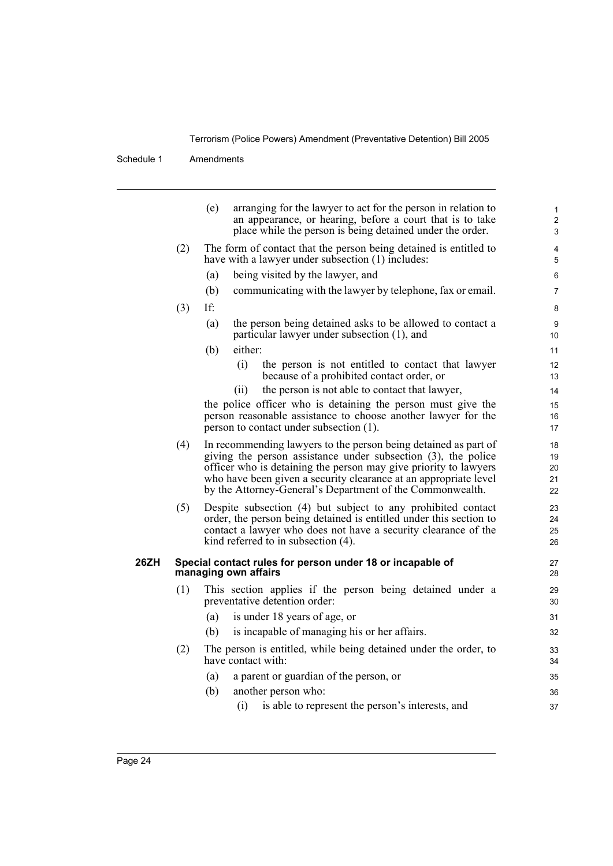|      |     | (e)<br>arranging for the lawyer to act for the person in relation to<br>an appearance, or hearing, before a court that is to take<br>place while the person is being detained under the order. | $\mathbf{1}$<br>$\overline{2}$<br>3 |
|------|-----|------------------------------------------------------------------------------------------------------------------------------------------------------------------------------------------------|-------------------------------------|
|      | (2) | The form of contact that the person being detained is entitled to<br>have with a lawyer under subsection (1) includes:                                                                         | 4<br>5                              |
|      |     | being visited by the lawyer, and<br>(a)                                                                                                                                                        | 6                                   |
|      |     | (b)<br>communicating with the lawyer by telephone, fax or email.                                                                                                                               | $\overline{7}$                      |
|      | (3) | If:                                                                                                                                                                                            | 8                                   |
|      |     | (a)<br>the person being detained asks to be allowed to contact a<br>particular lawyer under subsection (1), and                                                                                | 9<br>10                             |
|      |     | either:<br>(b)                                                                                                                                                                                 | 11                                  |
|      |     | (i)<br>the person is not entitled to contact that lawyer<br>because of a prohibited contact order, or                                                                                          | 12<br>13                            |
|      |     | the person is not able to contact that lawyer,<br>(11)                                                                                                                                         | 14                                  |
|      |     | the police officer who is detaining the person must give the                                                                                                                                   | 15                                  |
|      |     | person reasonable assistance to choose another lawyer for the<br>person to contact under subsection (1).                                                                                       | 16<br>17                            |
|      |     |                                                                                                                                                                                                |                                     |
|      | (4) | In recommending lawyers to the person being detained as part of<br>giving the person assistance under subsection (3), the police                                                               | 18<br>19                            |
|      |     | officer who is detaining the person may give priority to lawyers                                                                                                                               | 20                                  |
|      |     | who have been given a security clearance at an appropriate level                                                                                                                               | 21                                  |
|      |     | by the Attorney-General's Department of the Commonwealth.                                                                                                                                      | 22                                  |
|      | (5) | Despite subsection (4) but subject to any prohibited contact                                                                                                                                   | 23                                  |
|      |     | order, the person being detained is entitled under this section to<br>contact a lawyer who does not have a security clearance of the                                                           | 24<br>25                            |
|      |     | kind referred to in subsection (4).                                                                                                                                                            | 26                                  |
| 26ZH |     | Special contact rules for person under 18 or incapable of                                                                                                                                      | 27                                  |
|      |     | managing own affairs                                                                                                                                                                           | 28                                  |
|      | (1) | This section applies if the person being detained under a<br>preventative detention order:                                                                                                     | 29<br>30                            |
|      |     | is under 18 years of age, or<br>(a)                                                                                                                                                            | 31                                  |
|      |     | is incapable of managing his or her affairs.<br>(b)                                                                                                                                            | 32                                  |
|      | (2) | The person is entitled, while being detained under the order, to<br>have contact with:                                                                                                         | 33<br>34                            |
|      |     | a parent or guardian of the person, or<br>(a)                                                                                                                                                  | 35                                  |
|      |     | (b)<br>another person who:                                                                                                                                                                     | 36                                  |
|      |     | is able to represent the person's interests, and<br>(i)                                                                                                                                        | 37                                  |
|      |     |                                                                                                                                                                                                |                                     |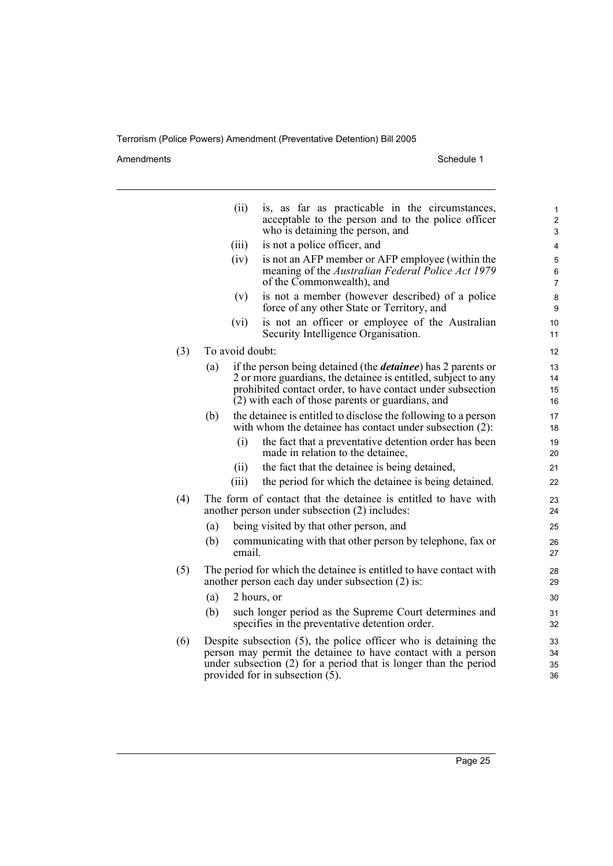Amendments Schedule 1

 $(3)$ 

|     |     | (ii)            | is, as far as practicable in the circumstances,<br>acceptable to the person and to the police officer<br>who is detaining the person, and                                                                                                                 | 1<br>2<br>3              |
|-----|-----|-----------------|-----------------------------------------------------------------------------------------------------------------------------------------------------------------------------------------------------------------------------------------------------------|--------------------------|
|     |     | (iii)           | is not a police officer, and                                                                                                                                                                                                                              | 4                        |
|     |     | (iv)            | is not an AFP member or AFP employee (within the<br>meaning of the Australian Federal Police Act 1979<br>of the Commonwealth), and                                                                                                                        | 5<br>6<br>$\overline{7}$ |
|     |     | (v)             | is not a member (however described) of a police<br>force of any other State or Territory, and                                                                                                                                                             | 8<br>9                   |
|     |     | (vi)            | is not an officer or employee of the Australian<br>Security Intelligence Organisation.                                                                                                                                                                    | 10<br>11                 |
| (3) |     | To avoid doubt: |                                                                                                                                                                                                                                                           | 12                       |
|     | (a) |                 | if the person being detained (the <i>detainee</i> ) has 2 parents or<br>2 or more guardians, the detainee is entitled, subject to any<br>prohibited contact order, to have contact under subsection<br>$(2)$ with each of those parents or guardians, and | 13<br>14<br>15<br>16     |
|     | (b) |                 | the detainee is entitled to disclose the following to a person<br>with whom the detainee has contact under subsection (2):                                                                                                                                | 17<br>18                 |
|     |     | (i)             | the fact that a preventative detention order has been<br>made in relation to the detainee,                                                                                                                                                                | 19<br>20                 |
|     |     | (ii)            | the fact that the detainee is being detained,                                                                                                                                                                                                             | 21                       |
|     |     | (iii)           | the period for which the detainee is being detained.                                                                                                                                                                                                      | 22                       |
| (4) |     |                 | The form of contact that the detainee is entitled to have with<br>another person under subsection (2) includes:                                                                                                                                           | 23<br>24                 |
|     | (a) |                 | being visited by that other person, and                                                                                                                                                                                                                   | 25                       |
|     | (b) | email.          | communicating with that other person by telephone, fax or                                                                                                                                                                                                 | 26<br>27                 |
| (5) |     |                 | The period for which the detainee is entitled to have contact with<br>another person each day under subsection (2) is:                                                                                                                                    | 28<br>29                 |
|     | (a) |                 | 2 hours, or                                                                                                                                                                                                                                               | 30                       |
|     | (b) |                 | such longer period as the Supreme Court determines and<br>specifies in the preventative detention order.                                                                                                                                                  | 31<br>32                 |
| (6) |     |                 | Despite subsection $(5)$ , the police officer who is detaining the<br>person may permit the detainee to have contact with a person<br>under subsection (2) for a period that is longer than the period<br>provided for in subsection $(5)$ .              | 33<br>34<br>35<br>36     |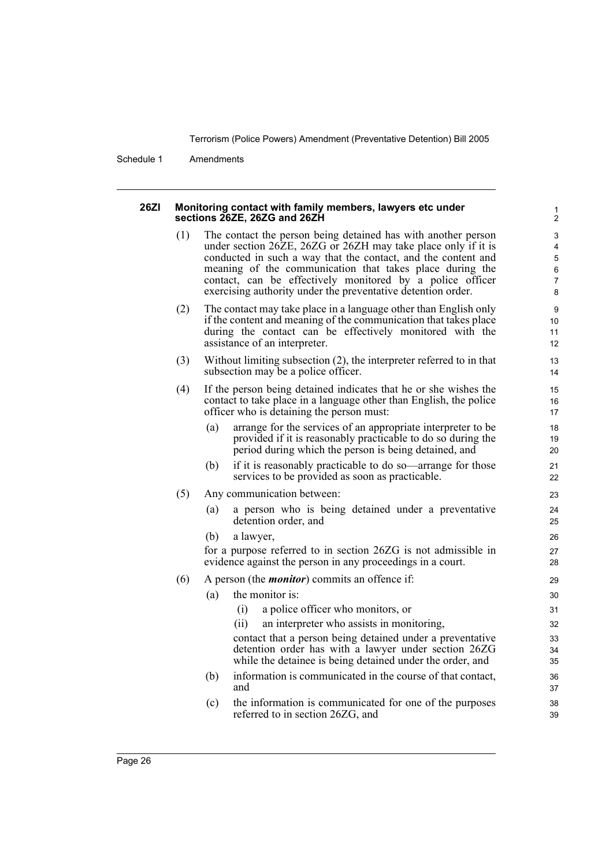Schedule 1 Amendments

#### **26ZI Monitoring contact with family members, lawyers etc under sections 26ZE, 26ZG and 26ZH**

(1) The contact the person being detained has with another person under section 26ZE, 26ZG or 26ZH may take place only if it is conducted in such a way that the contact, and the content and meaning of the communication that takes place during the contact, can be effectively monitored by a police officer exercising authority under the preventative detention order.

- (2) The contact may take place in a language other than English only if the content and meaning of the communication that takes place during the contact can be effectively monitored with the assistance of an interpreter.
- (3) Without limiting subsection (2), the interpreter referred to in that subsection may be a police officer.
- (4) If the person being detained indicates that he or she wishes the contact to take place in a language other than English, the police officer who is detaining the person must:
	- (a) arrange for the services of an appropriate interpreter to be provided if it is reasonably practicable to do so during the period during which the person is being detained, and
	- (b) if it is reasonably practicable to do so—arrange for those services to be provided as soon as practicable.
- (5) Any communication between:
	- (a) a person who is being detained under a preventative detention order, and
	- (b) a lawyer,

for a purpose referred to in section 26ZG is not admissible in evidence against the person in any proceedings in a court.

- (6) A person (the *monitor*) commits an offence if:
	- (a) the monitor is:
		- (i) a police officer who monitors, or (ii) an interpreter who assists in monitoring, contact that a person being detained under a preventative detention order has with a lawyer under section 26ZG

while the detainee is being detained under the order, and

- (b) information is communicated in the course of that contact, and
- (c) the information is communicated for one of the purposes referred to in section 26ZG, and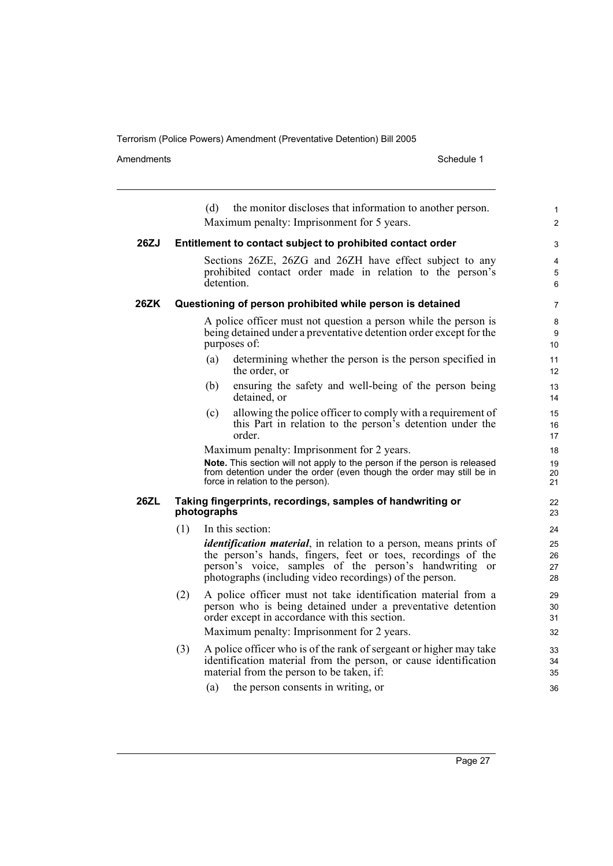Amendments Schedule 1

|      |             | (d) | the monitor discloses that information to another person.                                                                                                                                                                                                         | 1                    |
|------|-------------|-----|-------------------------------------------------------------------------------------------------------------------------------------------------------------------------------------------------------------------------------------------------------------------|----------------------|
|      |             |     | Maximum penalty: Imprisonment for 5 years.                                                                                                                                                                                                                        | $\overline{2}$       |
| 26ZJ |             |     | Entitlement to contact subject to prohibited contact order                                                                                                                                                                                                        | 3                    |
|      |             |     | Sections 26ZE, 26ZG and 26ZH have effect subject to any<br>prohibited contact order made in relation to the person's<br>detention.                                                                                                                                | 4<br>5<br>6          |
| 26ZK |             |     | Questioning of person prohibited while person is detained                                                                                                                                                                                                         | 7                    |
|      |             |     | A police officer must not question a person while the person is<br>being detained under a preventative detention order except for the<br>purposes of:                                                                                                             | 8<br>9<br>10         |
|      |             | (a) | determining whether the person is the person specified in<br>the order, or                                                                                                                                                                                        | 11<br>12             |
|      |             | (b) | ensuring the safety and well-being of the person being<br>detained, or                                                                                                                                                                                            | 13<br>14             |
|      |             | (c) | allowing the police officer to comply with a requirement of<br>this Part in relation to the person's detention under the<br>order.                                                                                                                                | 15<br>16<br>17       |
|      |             |     | Maximum penalty: Imprisonment for 2 years.                                                                                                                                                                                                                        | 18                   |
|      |             |     | Note. This section will not apply to the person if the person is released<br>from detention under the order (even though the order may still be in<br>force in relation to the person).                                                                           | 19<br>20<br>21       |
| 26ZL | photographs |     | Taking fingerprints, recordings, samples of handwriting or                                                                                                                                                                                                        | 22<br>23             |
|      | (1)         |     | In this section:                                                                                                                                                                                                                                                  | 24                   |
|      |             |     | <i>identification material</i> , in relation to a person, means prints of<br>the person's hands, fingers, feet or toes, recordings of the<br>person's voice, samples of the person's handwriting<br>or<br>photographs (including video recordings) of the person. | 25<br>26<br>27<br>28 |
|      | (2)         |     | A police officer must not take identification material from a<br>person who is being detained under a preventative detention<br>order except in accordance with this section.<br>Maximum penalty: Imprisonment for 2 years.                                       | 29<br>30<br>31<br>32 |
|      | (3)         |     | A police officer who is of the rank of sergeant or higher may take<br>identification material from the person, or cause identification<br>material from the person to be taken, if:                                                                               | 33<br>34<br>35       |
|      |             | (a) | the person consents in writing, or                                                                                                                                                                                                                                | 36                   |
|      |             |     |                                                                                                                                                                                                                                                                   |                      |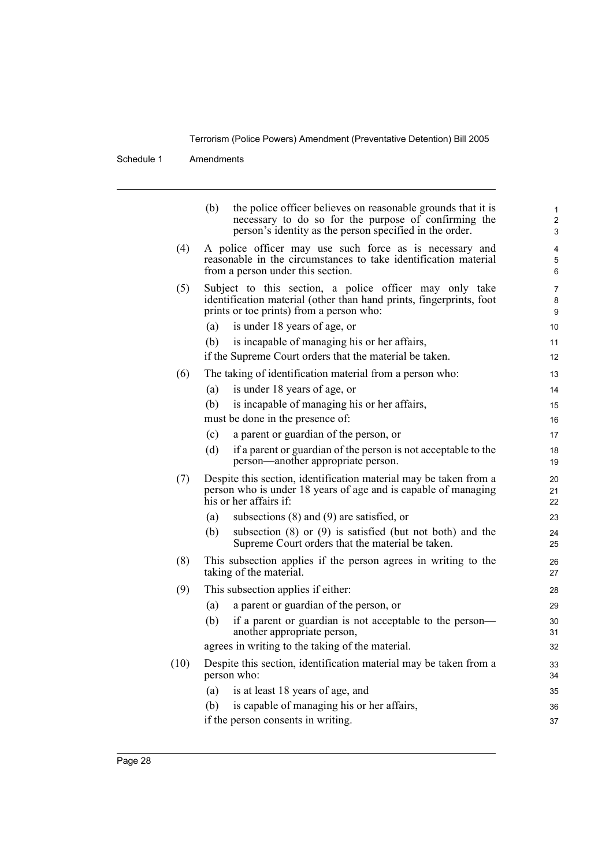|      | (b) | the police officer believes on reasonable grounds that it is<br>necessary to do so for the purpose of confirming the<br>person's identity as the person specified in the order. | $\mathbf{1}$<br>2<br>3             |
|------|-----|---------------------------------------------------------------------------------------------------------------------------------------------------------------------------------|------------------------------------|
| (4)  |     | A police officer may use such force as is necessary and<br>reasonable in the circumstances to take identification material<br>from a person under this section.                 | 4<br>5<br>6                        |
| (5)  |     | Subject to this section, a police officer may only take<br>identification material (other than hand prints, fingerprints, foot<br>prints or toe prints) from a person who:      | $\overline{\mathcal{I}}$<br>8<br>9 |
|      | (a) | is under 18 years of age, or                                                                                                                                                    | 10                                 |
|      | (b) | is incapable of managing his or her affairs,                                                                                                                                    | 11                                 |
|      |     | if the Supreme Court orders that the material be taken.                                                                                                                         | 12                                 |
| (6)  |     | The taking of identification material from a person who:                                                                                                                        | 13                                 |
|      | (a) | is under 18 years of age, or                                                                                                                                                    | 14                                 |
|      | (b) | is incapable of managing his or her affairs,                                                                                                                                    | 15                                 |
|      |     | must be done in the presence of:                                                                                                                                                | 16                                 |
|      | (c) | a parent or guardian of the person, or                                                                                                                                          | 17                                 |
|      | (d) | if a parent or guardian of the person is not acceptable to the<br>person—another appropriate person.                                                                            | 18<br>19                           |
| (7)  |     | Despite this section, identification material may be taken from a<br>person who is under 18 years of age and is capable of managing<br>his or her affairs if:                   | 20<br>21<br>22                     |
|      | (a) | subsections $(8)$ and $(9)$ are satisfied, or                                                                                                                                   | 23                                 |
|      | (b) | subsection $(8)$ or $(9)$ is satisfied (but not both) and the<br>Supreme Court orders that the material be taken.                                                               | 24<br>25                           |
| (8)  |     | This subsection applies if the person agrees in writing to the<br>taking of the material.                                                                                       | 26<br>27                           |
| (9)  |     | This subsection applies if either:                                                                                                                                              | 28                                 |
|      | (a) | a parent or guardian of the person, or                                                                                                                                          | 29                                 |
|      | (b) | if a parent or guardian is not acceptable to the person—<br>another appropriate person,                                                                                         | 30<br>31                           |
|      |     | agrees in writing to the taking of the material.                                                                                                                                | 32                                 |
| (10) |     | Despite this section, identification material may be taken from a<br>person who:                                                                                                | 33<br>34                           |
|      | (a) | is at least 18 years of age, and                                                                                                                                                | 35                                 |
|      | (b) | is capable of managing his or her affairs,                                                                                                                                      | 36                                 |
|      |     | if the person consents in writing.                                                                                                                                              | 37                                 |
|      |     |                                                                                                                                                                                 |                                    |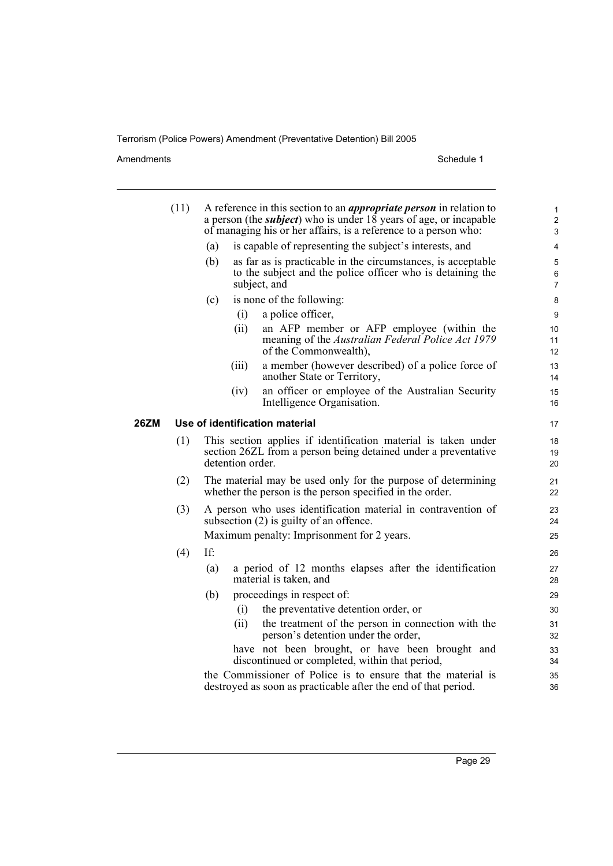#### Amendments Schedule 1

|      | (11) | A reference in this section to an <i>appropriate person</i> in relation to<br>a person (the <i>subject</i> ) who is under 18 years of age, or incapable<br>of managing his or her affairs, is a reference to a person who: | 1<br>$\overline{2}$<br>3                 |
|------|------|----------------------------------------------------------------------------------------------------------------------------------------------------------------------------------------------------------------------------|------------------------------------------|
|      |      | is capable of representing the subject's interests, and<br>(a)                                                                                                                                                             | 4                                        |
|      |      | as far as is practicable in the circumstances, is acceptable<br>(b)<br>to the subject and the police officer who is detaining the<br>subject, and                                                                          | $\sqrt{5}$<br>6<br>$\overline{7}$        |
|      |      | is none of the following:<br>(c)                                                                                                                                                                                           | 8                                        |
|      |      | a police officer,<br>(i)                                                                                                                                                                                                   | 9                                        |
|      |      | an AFP member or AFP employee (within the<br>(ii)<br>meaning of the Australian Federal Police Act 1979<br>of the Commonwealth),                                                                                            | 10 <sup>°</sup><br>11<br>12 <sup>2</sup> |
|      |      | a member (however described) of a police force of<br>(iii)<br>another State or Territory,                                                                                                                                  | 13<br>14                                 |
|      |      | an officer or employee of the Australian Security<br>(iv)<br>Intelligence Organisation.                                                                                                                                    | 15<br>16                                 |
| 26ZM |      | Use of identification material                                                                                                                                                                                             | 17                                       |
|      | (1)  | This section applies if identification material is taken under<br>section 26ZL from a person being detained under a preventative<br>detention order.                                                                       | 18<br>19<br>20                           |
|      | (2)  | The material may be used only for the purpose of determining<br>whether the person is the person specified in the order.                                                                                                   | 21<br>22                                 |
|      | (3)  | A person who uses identification material in contravention of<br>subsection $(2)$ is guilty of an offence.                                                                                                                 | 23<br>24                                 |
|      |      | Maximum penalty: Imprisonment for 2 years.                                                                                                                                                                                 | 25                                       |
|      | (4)  | If:                                                                                                                                                                                                                        | 26                                       |
|      |      | a period of 12 months elapses after the identification<br>(a)<br>material is taken, and                                                                                                                                    | 27<br>28                                 |
|      |      | (b)<br>proceedings in respect of:                                                                                                                                                                                          | 29                                       |
|      |      | the preventative detention order, or<br>(i)                                                                                                                                                                                | 30                                       |
|      |      | the treatment of the person in connection with the<br>(ii)<br>person's detention under the order,                                                                                                                          | 31<br>32                                 |
|      |      | have not been brought, or have been brought and<br>discontinued or completed, within that period,                                                                                                                          | 33<br>34                                 |
|      |      | the Commissioner of Police is to ensure that the material is                                                                                                                                                               | 35                                       |

destroyed as soon as practicable after the end of that period.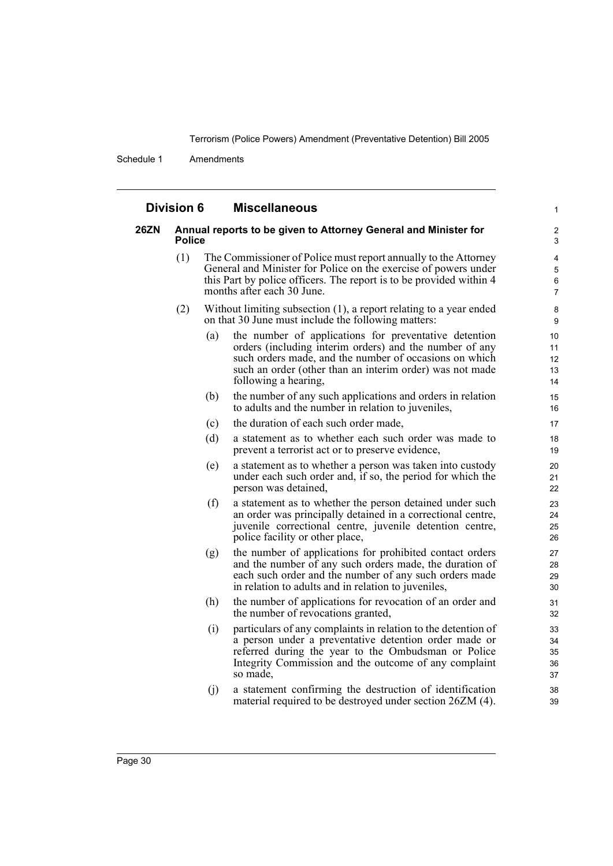1

Schedule 1 Amendments

| <b>Division 6</b> | <b>Miscellaneous</b> |
|-------------------|----------------------|
|-------------------|----------------------|

#### **26ZN Annual reports to be given to Attorney General and Minister for Police**

- (1) The Commissioner of Police must report annually to the Attorney General and Minister for Police on the exercise of powers under this Part by police officers. The report is to be provided within 4 months after each 30 June.
- (2) Without limiting subsection (1), a report relating to a year ended on that 30 June must include the following matters:
	- (a) the number of applications for preventative detention orders (including interim orders) and the number of any such orders made, and the number of occasions on which such an order (other than an interim order) was not made following a hearing,
	- (b) the number of any such applications and orders in relation to adults and the number in relation to juveniles,
	- (c) the duration of each such order made,
	- (d) a statement as to whether each such order was made to prevent a terrorist act or to preserve evidence,
	- (e) a statement as to whether a person was taken into custody under each such order and, if so, the period for which the person was detained,
	- (f) a statement as to whether the person detained under such an order was principally detained in a correctional centre, juvenile correctional centre, juvenile detention centre, police facility or other place,
	- (g) the number of applications for prohibited contact orders and the number of any such orders made, the duration of each such order and the number of any such orders made in relation to adults and in relation to juveniles,
	- (h) the number of applications for revocation of an order and the number of revocations granted,
	- (i) particulars of any complaints in relation to the detention of a person under a preventative detention order made or referred during the year to the Ombudsman or Police Integrity Commission and the outcome of any complaint so made,
	- (j) a statement confirming the destruction of identification material required to be destroyed under section 26ZM (4).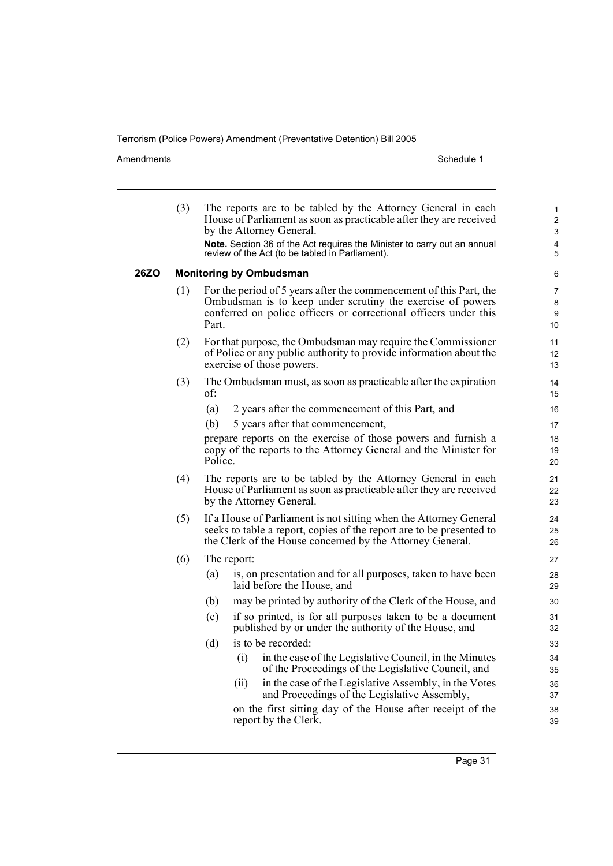Amendments Schedule 1

**26ZO Monitoring by Ombudsman**

| (3) | The reports are to be tabled by the Attorney General in each<br>House of Parliament as soon as practicable after they are received<br>by the Attorney General.<br>Note. Section 36 of the Act requires the Minister to carry out an annual<br>review of the Act (to be tabled in Parliament). |     |                                                                                                              |          |  |  |
|-----|-----------------------------------------------------------------------------------------------------------------------------------------------------------------------------------------------------------------------------------------------------------------------------------------------|-----|--------------------------------------------------------------------------------------------------------------|----------|--|--|
|     |                                                                                                                                                                                                                                                                                               |     | <b>Monitoring by Ombudsman</b>                                                                               | 6        |  |  |
| (1) | For the period of 5 years after the commencement of this Part, the<br>7<br>Ombudsman is to keep under scrutiny the exercise of powers<br>8<br>conferred on police officers or correctional officers under this<br>9<br>Part.<br>10                                                            |     |                                                                                                              |          |  |  |
| (2) | For that purpose, the Ombudsman may require the Commissioner<br>11<br>of Police or any public authority to provide information about the<br>12<br>exercise of those powers.<br>13                                                                                                             |     |                                                                                                              |          |  |  |
| (3) | of:                                                                                                                                                                                                                                                                                           |     | The Ombudsman must, as soon as practicable after the expiration                                              | 14<br>15 |  |  |
|     | (a)                                                                                                                                                                                                                                                                                           |     | 2 years after the commencement of this Part, and                                                             | 16       |  |  |
|     | (b)                                                                                                                                                                                                                                                                                           |     | 5 years after that commencement,                                                                             | 17       |  |  |
|     | prepare reports on the exercise of those powers and furnish a<br>copy of the reports to the Attorney General and the Minister for<br>Police.                                                                                                                                                  |     |                                                                                                              |          |  |  |
| (4) | The reports are to be tabled by the Attorney General in each<br>21<br>House of Parliament as soon as practicable after they are received<br>22<br>by the Attorney General.<br>23                                                                                                              |     |                                                                                                              |          |  |  |
| (5) | If a House of Parliament is not sitting when the Attorney General<br>24<br>seeks to table a report, copies of the report are to be presented to<br>25<br>the Clerk of the House concerned by the Attorney General.<br>26                                                                      |     |                                                                                                              |          |  |  |
| (6) | The report:                                                                                                                                                                                                                                                                                   |     |                                                                                                              |          |  |  |
|     | (a)                                                                                                                                                                                                                                                                                           |     | is, on presentation and for all purposes, taken to have been<br>laid before the House, and                   | 28<br>29 |  |  |
|     | (b)                                                                                                                                                                                                                                                                                           |     | may be printed by authority of the Clerk of the House, and                                                   | 30       |  |  |
|     | if so printed, is for all purposes taken to be a document<br>(c)<br>published by or under the authority of the House, and                                                                                                                                                                     |     | 31<br>32                                                                                                     |          |  |  |
|     | (d)                                                                                                                                                                                                                                                                                           |     | is to be recorded:                                                                                           | 33       |  |  |
|     |                                                                                                                                                                                                                                                                                               | (i) | in the case of the Legislative Council, in the Minutes<br>of the Proceedings of the Legislative Council, and | 34<br>35 |  |  |
|     |                                                                                                                                                                                                                                                                                               | (i) | in the case of the Legislative Assembly, in the Votes<br>and Proceedings of the Legislative Assembly,        | 36<br>37 |  |  |
|     |                                                                                                                                                                                                                                                                                               |     | on the first sitting day of the House after receipt of the<br>report by the Clerk.                           | 38<br>39 |  |  |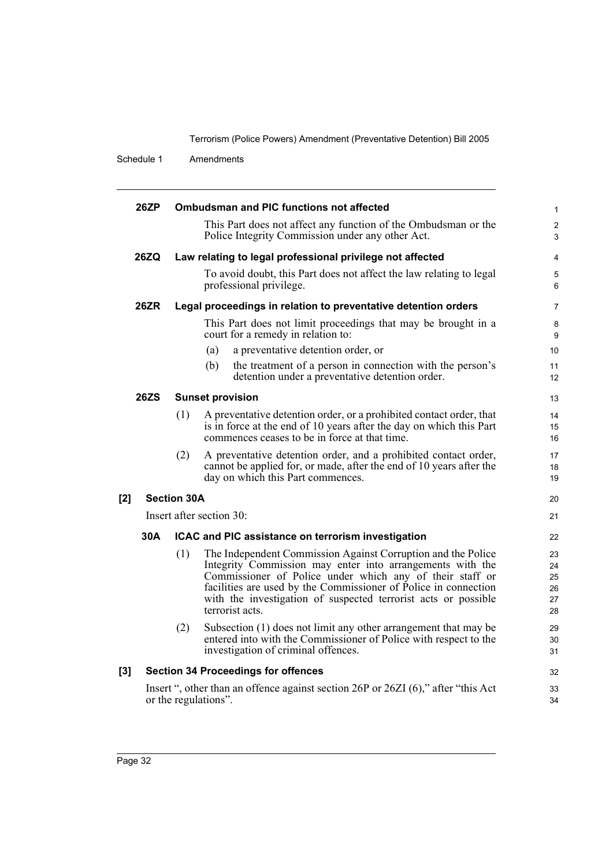| 26ZP                                                              |                      | <b>Ombudsman and PIC functions not affected</b>                                                                             |                         |  |  |
|-------------------------------------------------------------------|----------------------|-----------------------------------------------------------------------------------------------------------------------------|-------------------------|--|--|
|                                                                   |                      | This Part does not affect any function of the Ombudsman or the                                                              |                         |  |  |
|                                                                   |                      | Police Integrity Commission under any other Act.                                                                            |                         |  |  |
| 26ZQ<br>Law relating to legal professional privilege not affected |                      |                                                                                                                             |                         |  |  |
|                                                                   |                      | To avoid doubt, this Part does not affect the law relating to legal<br>professional privilege.                              |                         |  |  |
| 26ZR                                                              |                      | Legal proceedings in relation to preventative detention orders                                                              |                         |  |  |
|                                                                   |                      | This Part does not limit proceedings that may be brought in a<br>court for a remedy in relation to:                         |                         |  |  |
|                                                                   |                      | a preventative detention order, or<br>(a)                                                                                   | 10                      |  |  |
|                                                                   |                      | the treatment of a person in connection with the person's<br>(b)<br>detention under a preventative detention order.         | 11<br>$12 \overline{ }$ |  |  |
| 26ZS                                                              |                      | <b>Sunset provision</b>                                                                                                     | 13                      |  |  |
|                                                                   | (1)                  | A preventative detention order, or a prohibited contact order, that                                                         | 14                      |  |  |
|                                                                   |                      | is in force at the end of 10 years after the day on which this Part<br>commences ceases to be in force at that time.        | 15<br>16                |  |  |
|                                                                   | (2)                  | A preventative detention order, and a prohibited contact order,                                                             | 17                      |  |  |
|                                                                   |                      | cannot be applied for, or made, after the end of 10 years after the<br>day on which this Part commences.                    | 18<br>19                |  |  |
| [2]                                                               | <b>Section 30A</b>   |                                                                                                                             | 20                      |  |  |
|                                                                   |                      | Insert after section 30:                                                                                                    | 21                      |  |  |
| 30A                                                               |                      | ICAC and PIC assistance on terrorism investigation                                                                          |                         |  |  |
|                                                                   | (1)                  | The Independent Commission Against Corruption and the Police                                                                | 23                      |  |  |
|                                                                   |                      | Integrity Commission may enter into arrangements with the                                                                   | 24                      |  |  |
|                                                                   |                      | Commissioner of Police under which any of their staff or<br>facilities are used by the Commissioner of Police in connection | 25<br>26                |  |  |
|                                                                   |                      | with the investigation of suspected terrorist acts or possible                                                              | 27                      |  |  |
|                                                                   |                      | terrorist acts.                                                                                                             | 28                      |  |  |
|                                                                   | (2)                  | Subsection (1) does not limit any other arrangement that may be                                                             | 29                      |  |  |
|                                                                   |                      | entered into with the Commissioner of Police with respect to the<br>investigation of criminal offences.                     | 30<br>31                |  |  |
| $[3]$                                                             |                      | <b>Section 34 Proceedings for offences</b>                                                                                  | 32                      |  |  |
|                                                                   |                      | Insert ", other than an offence against section 26P or 26ZI (6)," after "this Act                                           | 33                      |  |  |
|                                                                   | or the regulations". |                                                                                                                             | 34                      |  |  |